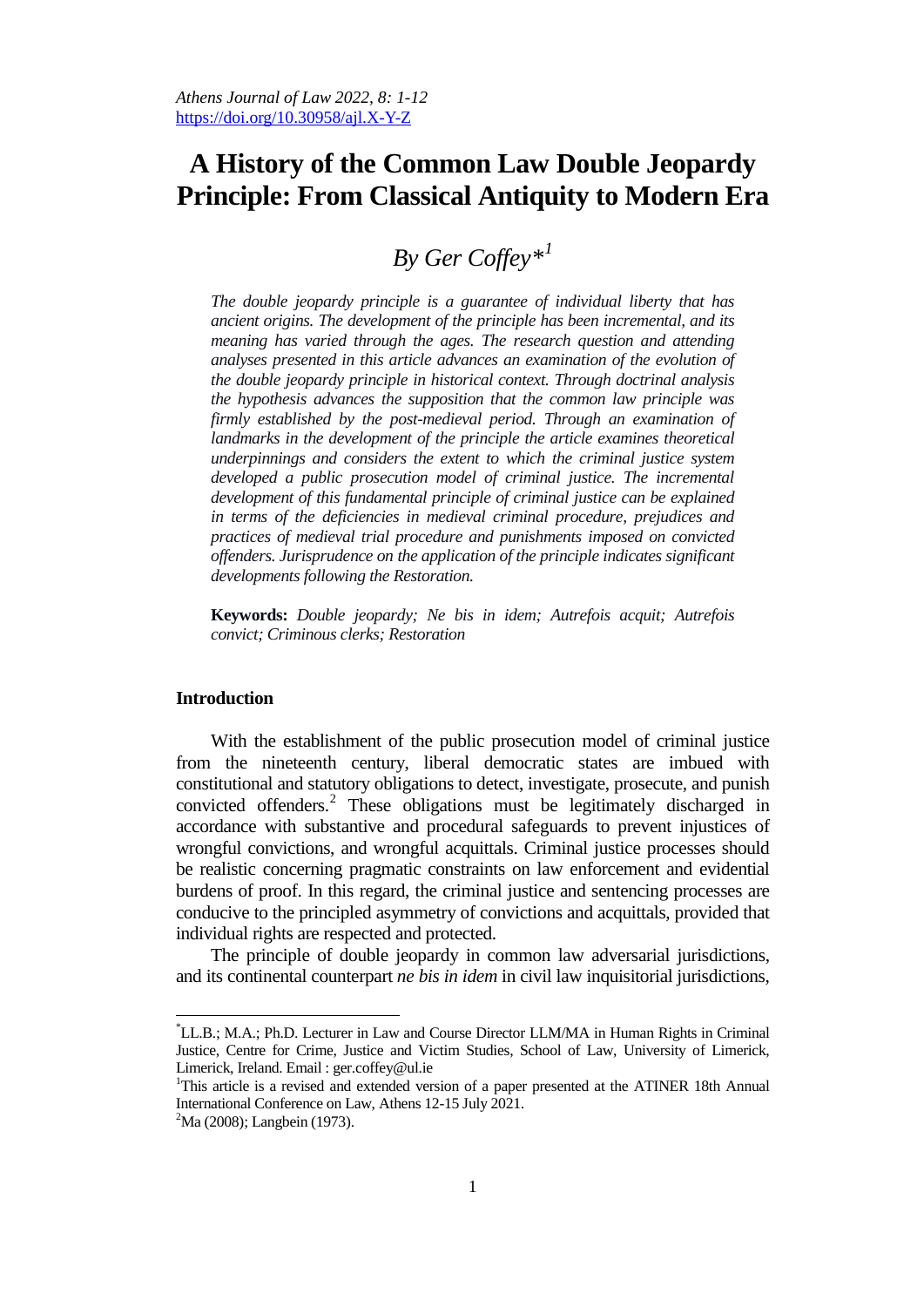# **A History of the Common Law Double Jeopardy Principle: From Classical Antiquity to Modern Era**

# *By Ger Coffe[y\\*](#page-0-0)[1](#page-0-1)*

*The double jeopardy principle is a guarantee of individual liberty that has ancient origins. The development of the principle has been incremental, and its meaning has varied through the ages. The research question and attending analyses presented in this article advances an examination of the evolution of the double jeopardy principle in historical context. Through doctrinal analysis the hypothesis advances the supposition that the common law principle was firmly established by the post-medieval period. Through an examination of landmarks in the development of the principle the article examines theoretical underpinnings and considers the extent to which the criminal justice system developed a public prosecution model of criminal justice. The incremental development of this fundamental principle of criminal justice can be explained in terms of the deficiencies in medieval criminal procedure, prejudices and practices of medieval trial procedure and punishments imposed on convicted offenders. Jurisprudence on the application of the principle indicates significant developments following the Restoration.*

**Keywords:** *Double jeopardy; Ne bis in idem; Autrefois acquit; Autrefois convict; Criminous clerks; Restoration*

# **Introduction**

With the establishment of the public prosecution model of criminal justice from the nineteenth century, liberal democratic states are imbued with constitutional and statutory obligations to detect, investigate, prosecute, and punish convicted offenders.[2](#page-0-2) These obligations must be legitimately discharged in accordance with substantive and procedural safeguards to prevent injustices of wrongful convictions, and wrongful acquittals. Criminal justice processes should be realistic concerning pragmatic constraints on law enforcement and evidential burdens of proof. In this regard, the criminal justice and sentencing processes are conducive to the principled asymmetry of convictions and acquittals, provided that individual rights are respected and protected.

The principle of double jeopardy in common law adversarial jurisdictions, and its continental counterpart *ne bis in idem* in civil law inquisitorial jurisdictions,

<span id="page-0-0"></span>\* LL.B.; M.A.; Ph.D. Lecturer in Law and Course Director LLM/MA in Human Rights in Criminal Justice, Centre for Crime, Justice and Victim Studies, School of Law, University of Limerick, Limerick, Ireland. Email : ger.coffey@ul.ie

<span id="page-0-1"></span><sup>&</sup>lt;sup>1</sup>This article is a revised and extended version of a paper presented at the ATINER 18th Annual International Conference on Law, Athens 12-15 July 2021. <sup>2</sup>

<span id="page-0-2"></span><sup>&</sup>lt;sup>2</sup>Ma (2008); Langbein (1973).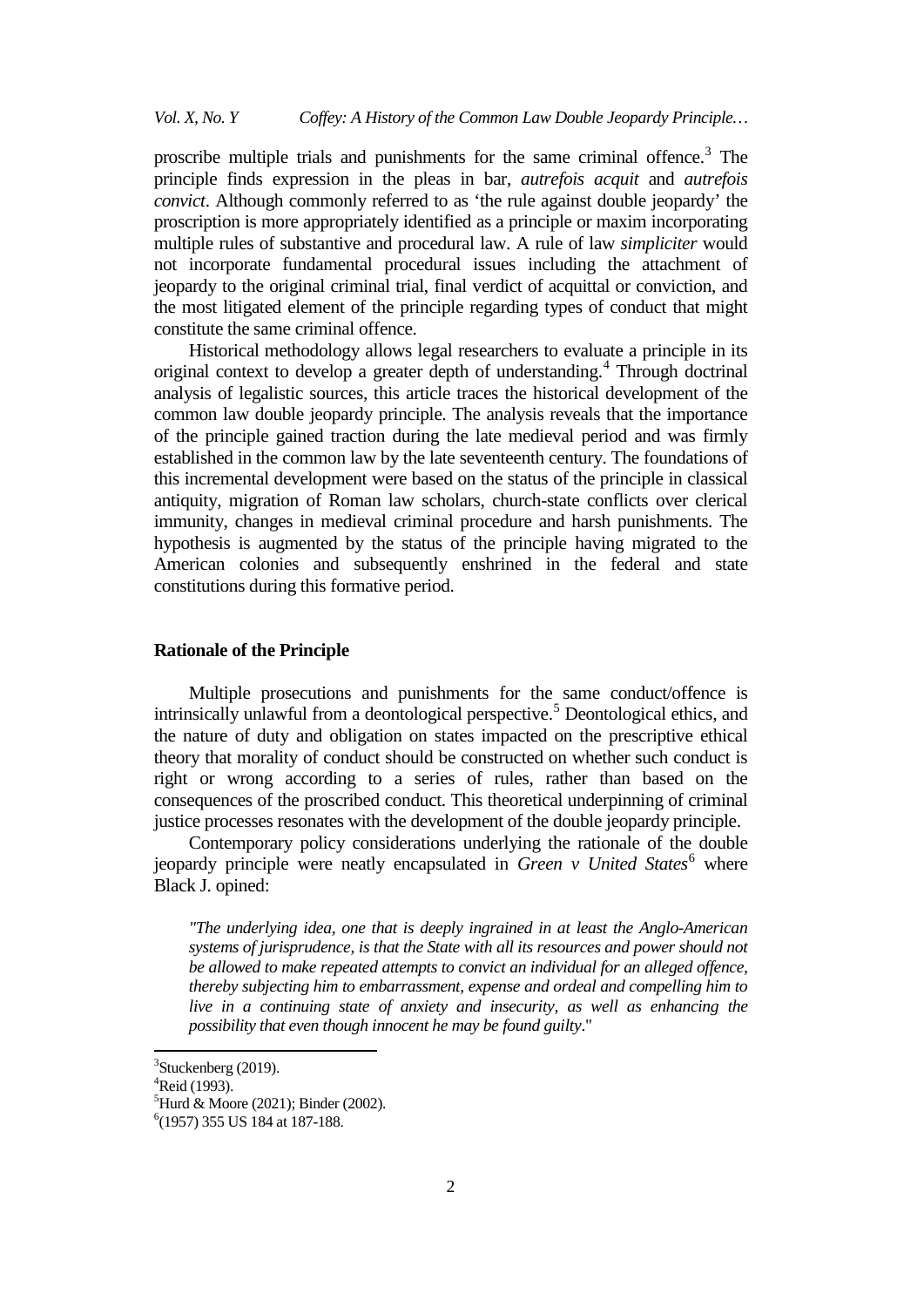proscribe multiple trials and punishments for the same criminal offence.<sup>[3](#page-1-0)</sup> The principle finds expression in the pleas in bar, *autrefois acquit* and *autrefois convict*. Although commonly referred to as 'the rule against double jeopardy' the proscription is more appropriately identified as a principle or maxim incorporating multiple rules of substantive and procedural law. A rule of law *simpliciter* would not incorporate fundamental procedural issues including the attachment of jeopardy to the original criminal trial, final verdict of acquittal or conviction, and the most litigated element of the principle regarding types of conduct that might constitute the same criminal offence.

Historical methodology allows legal researchers to evaluate a principle in its original context to develop a greater depth of understanding.<sup>[4](#page-1-1)</sup> Through doctrinal analysis of legalistic sources, this article traces the historical development of the common law double jeopardy principle. The analysis reveals that the importance of the principle gained traction during the late medieval period and was firmly established in the common law by the late seventeenth century. The foundations of this incremental development were based on the status of the principle in classical antiquity, migration of Roman law scholars, church-state conflicts over clerical immunity, changes in medieval criminal procedure and harsh punishments. The hypothesis is augmented by the status of the principle having migrated to the American colonies and subsequently enshrined in the federal and state constitutions during this formative period.

# **Rationale of the Principle**

Multiple prosecutions and punishments for the same conduct/offence is intrinsically unlawful from a deontological perspective.<sup>[5](#page-1-2)</sup> Deontological ethics, and the nature of duty and obligation on states impacted on the prescriptive ethical theory that morality of conduct should be constructed on whether such conduct is right or wrong according to a series of rules, rather than based on the consequences of the proscribed conduct. This theoretical underpinning of criminal justice processes resonates with the development of the double jeopardy principle.

Contemporary policy considerations underlying the rationale of the double jeopardy principle were neatly encapsulated in *Green v United States*<sup>[6](#page-1-3)</sup> where Black J. opined:

*"The underlying idea, one that is deeply ingrained in at least the Anglo-American systems of jurisprudence, is that the State with all its resources and power should not be allowed to make repeated attempts to convict an individual for an alleged offence, thereby subjecting him to embarrassment, expense and ordeal and compelling him to live in a continuing state of anxiety and insecurity, as well as enhancing the possibility that even though innocent he may be found guilty*."

<span id="page-1-0"></span>3  $3$ Stuckenberg (2019).

<span id="page-1-1"></span><sup>4</sup> Reid (1993).

<span id="page-1-2"></span><sup>5</sup> Hurd & Moore (2021); Binder (2002).

<span id="page-1-3"></span><sup>6</sup> (1957) 355 US 184 at 187-188.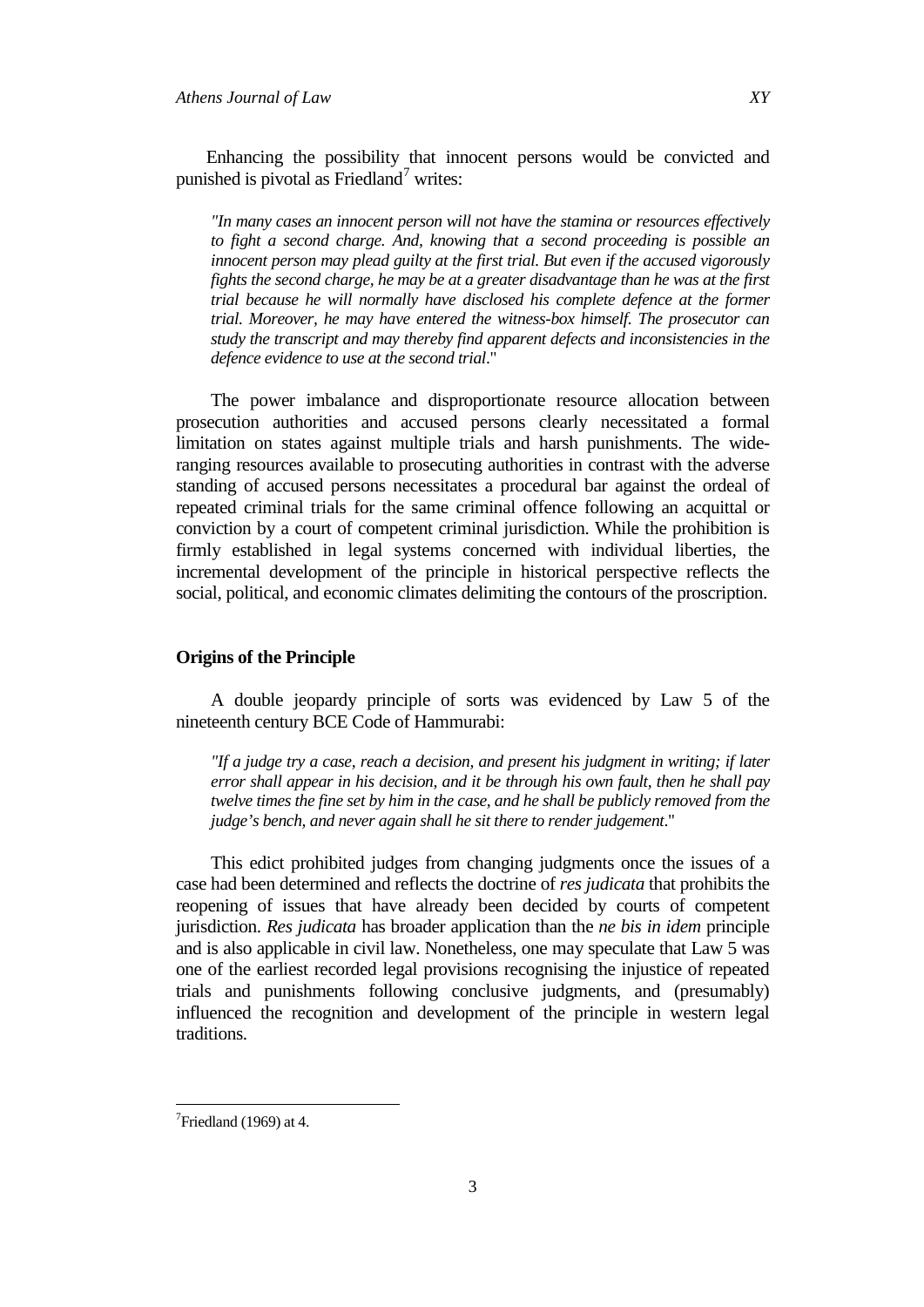Enhancing the possibility that innocent persons would be convicted and punished is pivotal as Friedland $\prime$  writes:

*"In many cases an innocent person will not have the stamina or resources effectively to fight a second charge. And, knowing that a second proceeding is possible an innocent person may plead guilty at the first trial. But even if the accused vigorously fights the second charge, he may be at a greater disadvantage than he was at the first trial because he will normally have disclosed his complete defence at the former trial. Moreover, he may have entered the witness-box himself. The prosecutor can study the transcript and may thereby find apparent defects and inconsistencies in the defence evidence to use at the second trial*."

The power imbalance and disproportionate resource allocation between prosecution authorities and accused persons clearly necessitated a formal limitation on states against multiple trials and harsh punishments. The wideranging resources available to prosecuting authorities in contrast with the adverse standing of accused persons necessitates a procedural bar against the ordeal of repeated criminal trials for the same criminal offence following an acquittal or conviction by a court of competent criminal jurisdiction. While the prohibition is firmly established in legal systems concerned with individual liberties, the incremental development of the principle in historical perspective reflects the social, political, and economic climates delimiting the contours of the proscription.

# **Origins of the Principle**

A double jeopardy principle of sorts was evidenced by Law 5 of the nineteenth century BCE Code of Hammurabi:

*"If a judge try a case, reach a decision, and present his judgment in writing; if later error shall appear in his decision, and it be through his own fault, then he shall pay twelve times the fine set by him in the case, and he shall be publicly removed from the judge's bench, and never again shall he sit there to render judgement*."

This edict prohibited judges from changing judgments once the issues of a case had been determined and reflects the doctrine of *res judicata* that prohibits the reopening of issues that have already been decided by courts of competent jurisdiction. *Res judicata* has broader application than the *ne bis in idem* principle and is also applicable in civil law. Nonetheless, one may speculate that Law 5 was one of the earliest recorded legal provisions recognising the injustice of repeated trials and punishments following conclusive judgments, and (presumably) influenced the recognition and development of the principle in western legal traditions.

<span id="page-2-0"></span><sup>⊤&</sup>lt;br>7  $7$ Friedland (1969) at 4.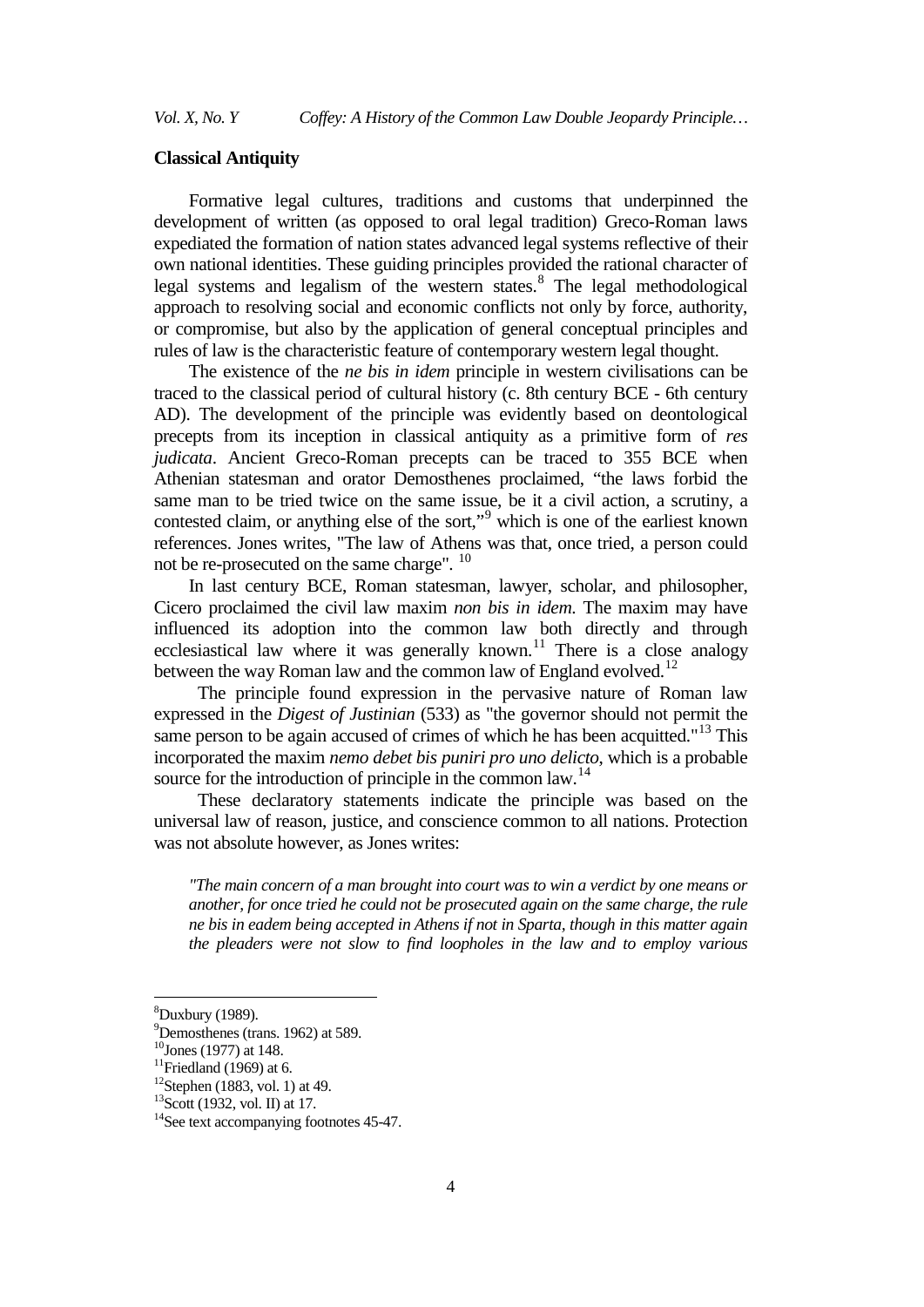## **Classical Antiquity**

Formative legal cultures, traditions and customs that underpinned the development of written (as opposed to oral legal tradition) Greco-Roman laws expediated the formation of nation states advanced legal systems reflective of their own national identities. These guiding principles provided the rational character of legal systems and legalism of the western states.<sup>[8](#page-3-0)</sup> The legal methodological approach to resolving social and economic conflicts not only by force, authority, or compromise, but also by the application of general conceptual principles and rules of law is the characteristic feature of contemporary western legal thought.

The existence of the *ne bis in idem* principle in western civilisations can be traced to the classical period of cultural history (c. 8th century BCE - 6th century AD). The development of the principle was evidently based on deontological precepts from its inception in classical antiquity as a primitive form of *res judicata*. Ancient Greco-Roman precepts can be traced to 355 BCE when Athenian statesman and orator Demosthenes proclaimed, "the laws forbid the same man to be tried twice on the same issue, be it a civil action, a scrutiny, a contested claim, or anything else of the sort,"<sup>[9](#page-3-1)</sup> which is one of the earliest known references. Jones writes, "The law of Athens was that, once tried, a person could not be re-prosecuted on the same charge". <sup>[10](#page-3-2)</sup>

In last century BCE, Roman statesman, lawyer, scholar, and philosopher, Cicero proclaimed the civil law maxim *non bis in idem*. The maxim may have influenced its adoption into the common law both directly and through ecclesiastical law where it was generally known.<sup>[11](#page-3-3)</sup> There is a close analogy between the way Roman law and the common law of England evolved.<sup>[12](#page-3-4)</sup>

The principle found expression in the pervasive nature of Roman law expressed in the *Digest of Justinian* (533) as "the governor should not permit the same person to be again accused of crimes of which he has been acquitted."<sup>[13](#page-3-5)</sup> This incorporated the maxim *nemo debet bis puniri pro uno delicto*, which is a probable source for the introduction of principle in the common law.<sup>[14](#page-3-6)</sup>

These declaratory statements indicate the principle was based on the universal law of reason, justice, and conscience common to all nations. Protection was not absolute however, as Jones writes:

*"The main concern of a man brought into court was to win a verdict by one means or another, for once tried he could not be prosecuted again on the same charge, the rule ne bis in eadem being accepted in Athens if not in Sparta, though in this matter again the pleaders were not slow to find loopholes in the law and to employ various* 

<span id="page-3-0"></span>8  ${}^{8}$ Duxbury (1989).

P Demosthenes (trans. 1962) at 589.<br><sup>10</sup> Jones (1977) at 148.

<span id="page-3-2"></span><span id="page-3-1"></span> $^{10}$ Jones (1977) at 148.<br> $^{11}$ Friedland (1969) at 6.

<span id="page-3-4"></span><span id="page-3-3"></span> $12$ Stephen (1883, vol. 1) at 49.

<span id="page-3-5"></span><sup>&</sup>lt;sup>13</sup>Scott (1932, vol. II) at 17.

<span id="page-3-6"></span><sup>&</sup>lt;sup>14</sup>See text accompanying footnotes 45-47.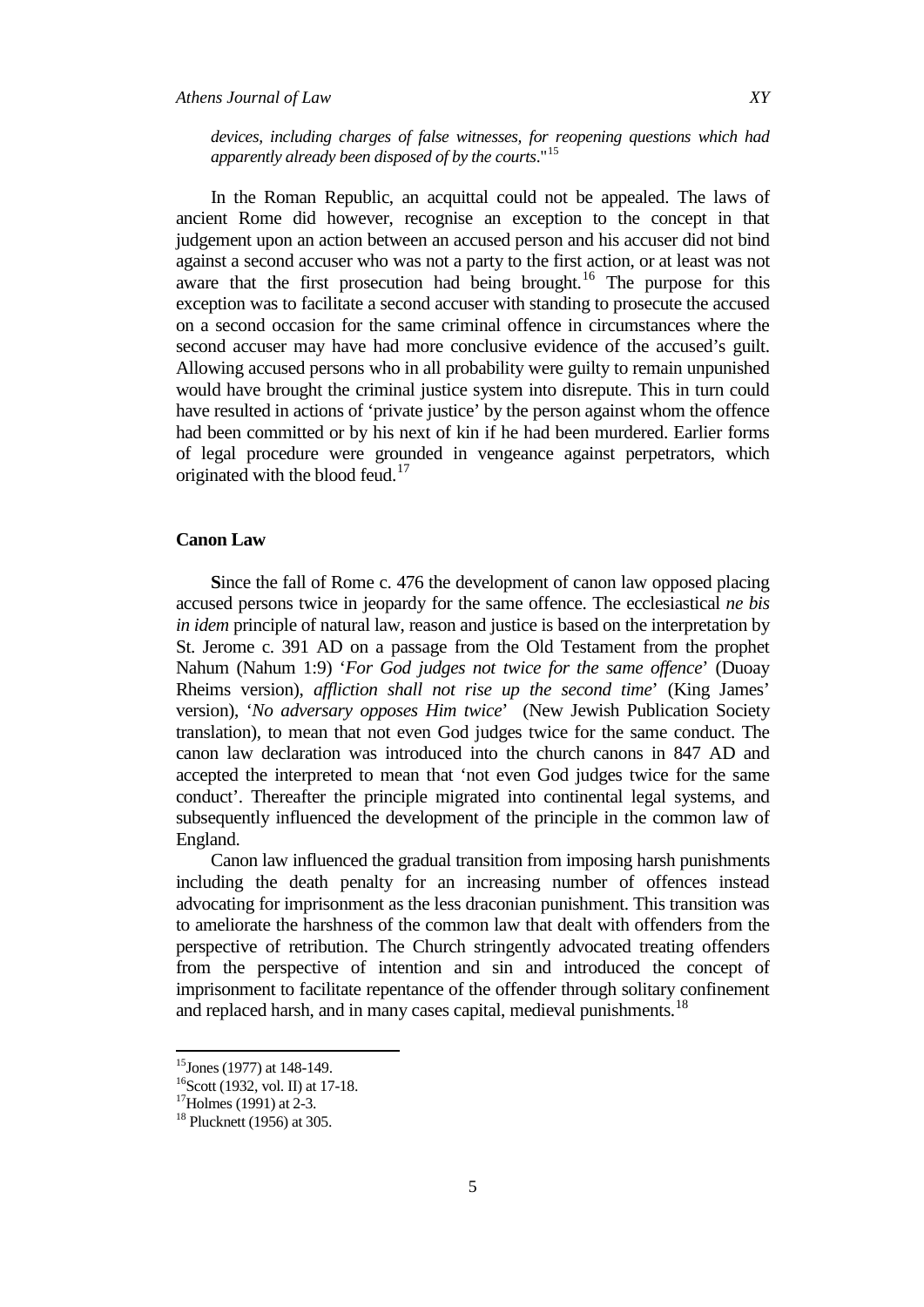# *Athens Journal of Law XY*

*devices, including charges of false witnesses, for reopening questions which had apparently already been disposed of by the courts*."[15](#page-4-0)

In the Roman Republic, an acquittal could not be appealed. The laws of ancient Rome did however, recognise an exception to the concept in that judgement upon an action between an accused person and his accuser did not bind against a second accuser who was not a party to the first action, or at least was not aware that the first prosecution had being brought.<sup>[16](#page-4-1)</sup> The purpose for this exception was to facilitate a second accuser with standing to prosecute the accused on a second occasion for the same criminal offence in circumstances where the second accuser may have had more conclusive evidence of the accused's guilt. Allowing accused persons who in all probability were guilty to remain unpunished would have brought the criminal justice system into disrepute. This in turn could have resulted in actions of 'private justice' by the person against whom the offence had been committed or by his next of kin if he had been murdered. Earlier forms of legal procedure were grounded in vengeance against perpetrators, which originated with the blood feud.<sup>[17](#page-4-2)</sup>

## **Canon Law**

**S**ince the fall of Rome c. 476 the development of canon law opposed placing accused persons twice in jeopardy for the same offence. The ecclesiastical *ne bis in idem* principle of natural law, reason and justice is based on the interpretation by St. Jerome c. 391 AD on a passage from the Old Testament from the prophet Nahum (Nahum 1:9) '*For God judges not twice for the same offence*' (Duoay Rheims version), *affliction shall not rise up the second time*' (King James' version), '*No adversary opposes Him twice*' (New Jewish Publication Society translation), to mean that not even God judges twice for the same conduct. The canon law declaration was introduced into the church canons in 847 AD and accepted the interpreted to mean that 'not even God judges twice for the same conduct'. Thereafter the principle migrated into continental legal systems, and subsequently influenced the development of the principle in the common law of England.

Canon law influenced the gradual transition from imposing harsh punishments including the death penalty for an increasing number of offences instead advocating for imprisonment as the less draconian punishment. This transition was to ameliorate the harshness of the common law that dealt with offenders from the perspective of retribution. The Church stringently advocated treating offenders from the perspective of intention and sin and introduced the concept of imprisonment to facilitate repentance of the offender through solitary confinement and replaced harsh, and in many cases capital, medieval punishments.<sup>[18](#page-4-3)</sup>

<span id="page-4-1"></span><span id="page-4-0"></span>

<sup>&</sup>lt;sup>15</sup>Jones (1977) at 148-149.<br><sup>16</sup>Scott (1932, vol. II) at 17-18.<br><sup>17</sup>Holmes (1991) at 2-3.<br><sup>18</sup> Plucknett (1956) at 305.

<span id="page-4-2"></span>

<span id="page-4-3"></span>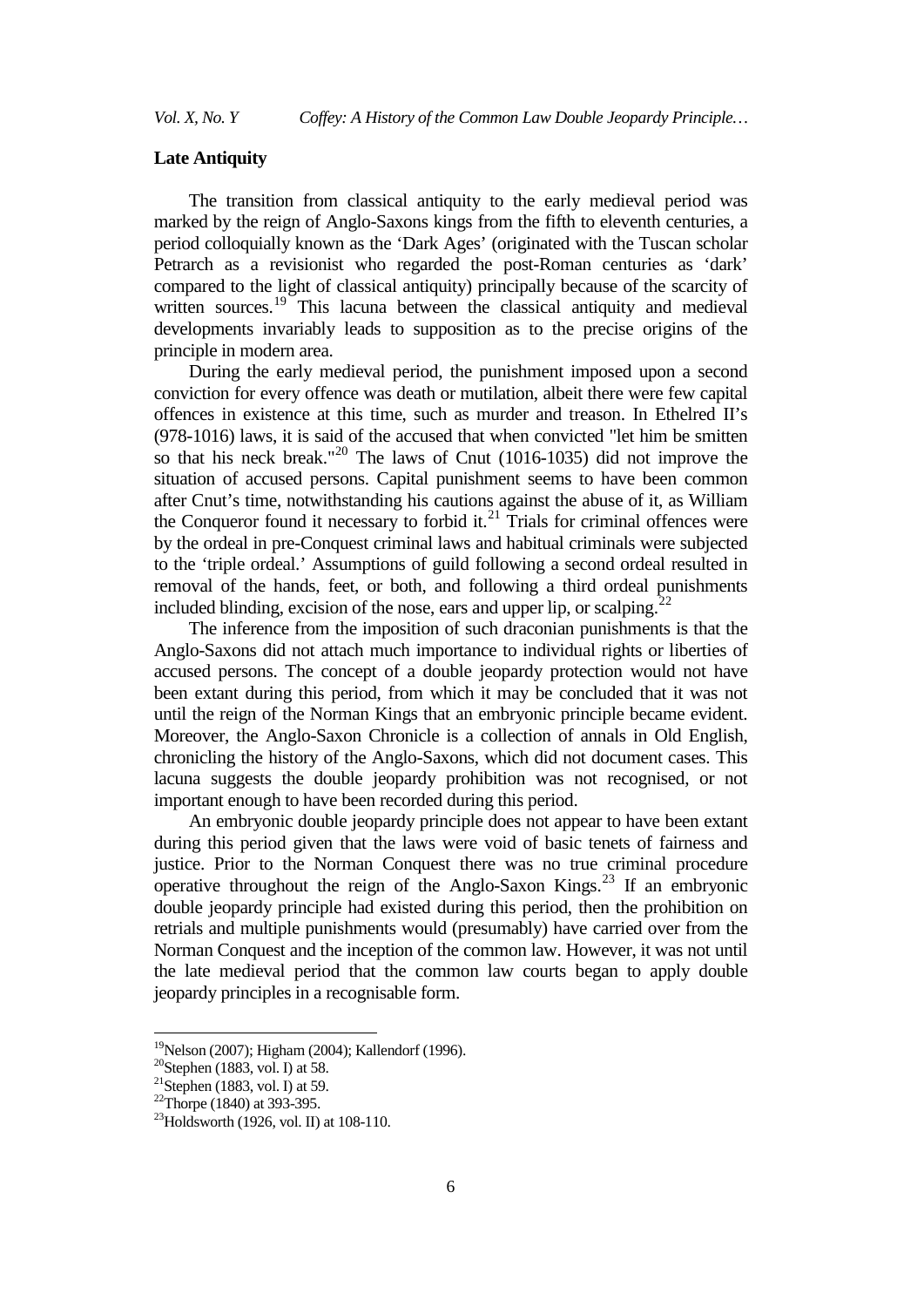#### **Late Antiquity**

The transition from classical antiquity to the early medieval period was marked by the reign of Anglo-Saxons kings from the fifth to eleventh centuries, a period colloquially known as the 'Dark Ages' (originated with the Tuscan scholar Petrarch as a revisionist who regarded the post-Roman centuries as 'dark' compared to the light of classical antiquity) principally because of the scarcity of written sources.<sup>[19](#page-5-0)</sup> This lacuna between the classical antiquity and medieval developments invariably leads to supposition as to the precise origins of the principle in modern area.

During the early medieval period, the punishment imposed upon a second conviction for every offence was death or mutilation, albeit there were few capital offences in existence at this time, such as murder and treason. In Ethelred II's (978-1016) laws, it is said of the accused that when convicted "let him be smitten so that his neck break."[20](#page-5-1) The laws of Cnut (1016-1035) did not improve the situation of accused persons. Capital punishment seems to have been common after Cnut's time, notwithstanding his cautions against the abuse of it, as William the Conqueror found it necessary to forbid it. $^{21}$  $^{21}$  $^{21}$  Trials for criminal offences were by the ordeal in pre-Conquest criminal laws and habitual criminals were subjected to the 'triple ordeal.' Assumptions of guild following a second ordeal resulted in removal of the hands, feet, or both, and following a third ordeal punishments included blinding, excision of the nose, ears and upper lip, or scalping.<sup>[22](#page-5-3)</sup>

The inference from the imposition of such draconian punishments is that the Anglo-Saxons did not attach much importance to individual rights or liberties of accused persons. The concept of a double jeopardy protection would not have been extant during this period, from which it may be concluded that it was not until the reign of the Norman Kings that an embryonic principle became evident. Moreover, the Anglo-Saxon Chronicle is a collection of annals in Old English, chronicling the history of the Anglo-Saxons, which did not document cases. This lacuna suggests the double jeopardy prohibition was not recognised, or not important enough to have been recorded during this period.

An embryonic double jeopardy principle does not appear to have been extant during this period given that the laws were void of basic tenets of fairness and justice. Prior to the Norman Conquest there was no true criminal procedure operative throughout the reign of the Anglo-Saxon Kings.[23](#page-5-4) If an embryonic double jeopardy principle had existed during this period, then the prohibition on retrials and multiple punishments would (presumably) have carried over from the Norman Conquest and the inception of the common law. However, it was not until the late medieval period that the common law courts began to apply double jeopardy principles in a recognisable form.

<span id="page-5-0"></span><sup>&</sup>lt;sup>19</sup>Nelson (2007); Higham (2004); Kallendorf (1996).

<span id="page-5-1"></span> $20$ Stephen (1883, vol. I) at 58.

<span id="page-5-2"></span><sup>&</sup>lt;sup>21</sup>Stephen (1883, vol. I) at 59.<br><sup>22</sup>Thorpe (1840) at 393-395.

<span id="page-5-4"></span><span id="page-5-3"></span><sup>&</sup>lt;sup>23</sup>Holdsworth (1926, vol. II) at 108-110.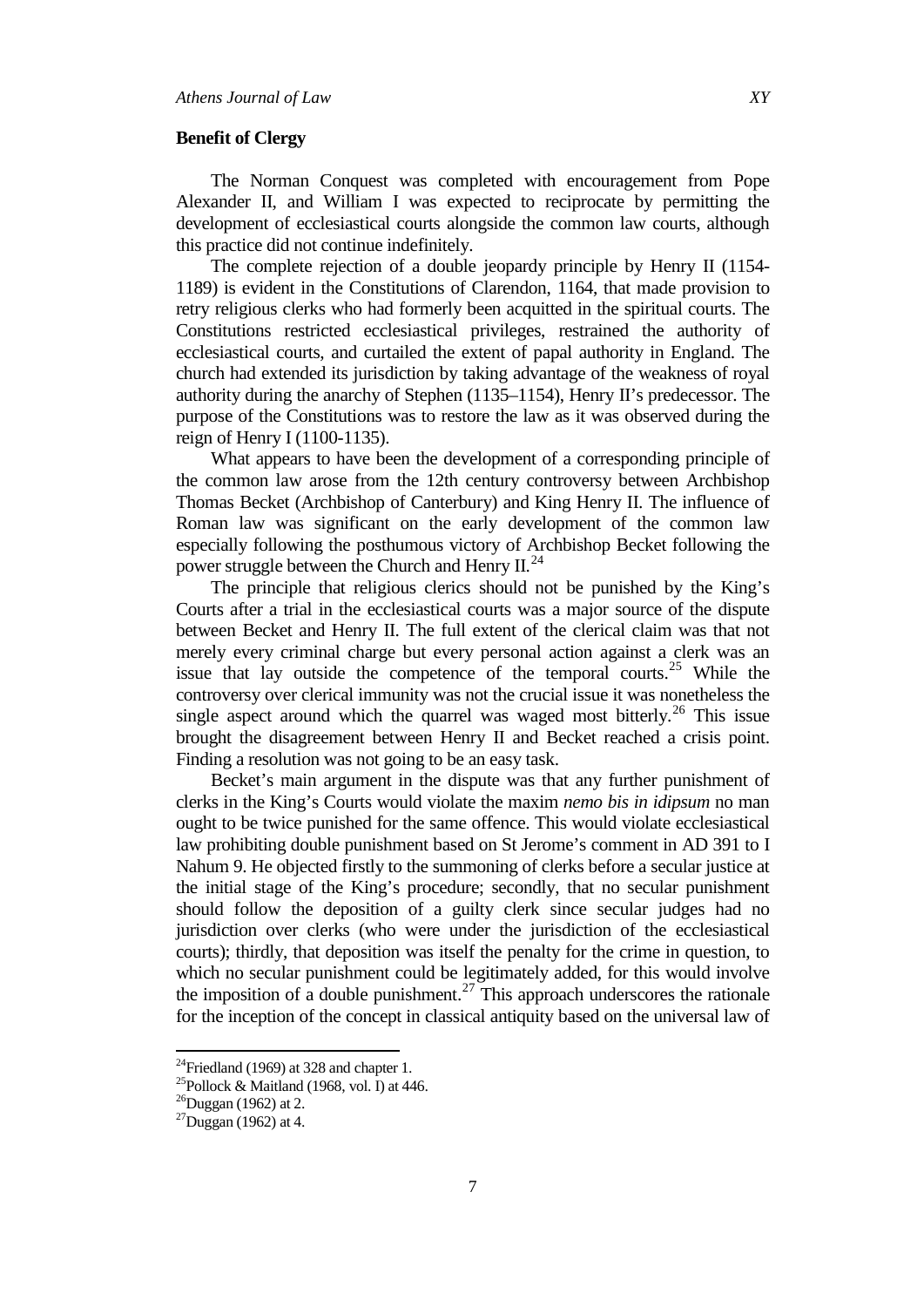#### **Benefit of Clergy**

The Norman Conquest was completed with encouragement from Pope Alexander II, and William I was expected to reciprocate by permitting the development of ecclesiastical courts alongside the common law courts, although this practice did not continue indefinitely.

The complete rejection of a double jeopardy principle by Henry II (1154- 1189) is evident in the Constitutions of Clarendon, 1164, that made provision to retry religious clerks who had formerly been acquitted in the spiritual courts. The Constitutions restricted ecclesiastical privileges, restrained the authority of ecclesiastical courts, and curtailed the extent of papal authority in England. The church had extended its jurisdiction by taking advantage of the weakness of royal authority during the anarchy of Stephen (1135–1154), Henry II's predecessor. The purpose of the Constitutions was to restore the law as it was observed during the reign of Henry I (1100-1135).

What appears to have been the development of a corresponding principle of the common law arose from the 12th century controversy between Archbishop Thomas Becket (Archbishop of Canterbury) and King Henry II. The influence of Roman law was significant on the early development of the common law especially following the posthumous victory of Archbishop Becket following the power struggle between the Church and Henry  $II^{24}$  $II^{24}$  $II^{24}$ .

The principle that religious clerics should not be punished by the King's Courts after a trial in the ecclesiastical courts was a major source of the dispute between Becket and Henry II. The full extent of the clerical claim was that not merely every criminal charge but every personal action against a clerk was an issue that lay outside the competence of the temporal courts.<sup>[25](#page-6-1)</sup> While the controversy over clerical immunity was not the crucial issue it was nonetheless the single aspect around which the quarrel was waged most bitterly.<sup>[26](#page-6-2)</sup> This issue brought the disagreement between Henry II and Becket reached a crisis point. Finding a resolution was not going to be an easy task.

Becket's main argument in the dispute was that any further punishment of clerks in the King's Courts would violate the maxim *nemo bis in idipsum* no man ought to be twice punished for the same offence. This would violate ecclesiastical law prohibiting double punishment based on St Jerome's comment in AD 391 to I Nahum 9. He objected firstly to the summoning of clerks before a secular justice at the initial stage of the King's procedure; secondly, that no secular punishment should follow the deposition of a guilty clerk since secular judges had no jurisdiction over clerks (who were under the jurisdiction of the ecclesiastical courts); thirdly, that deposition was itself the penalty for the crime in question, to which no secular punishment could be legitimately added, for this would involve the imposition of a double punishment.<sup>[27](#page-6-3)</sup> This approach underscores the rationale for the inception of the concept in classical antiquity based on the universal law of

<span id="page-6-0"></span> $^{24}$ Friedland (1969) at 328 and chapter 1.

<span id="page-6-1"></span><sup>&</sup>lt;sup>25</sup>Pollock & Maitland (1968, vol. I) at 446.

<span id="page-6-2"></span> $^{26}$ Duggan (1962) at 2.

<span id="page-6-3"></span> $^{27}$ Duggan (1962) at 4.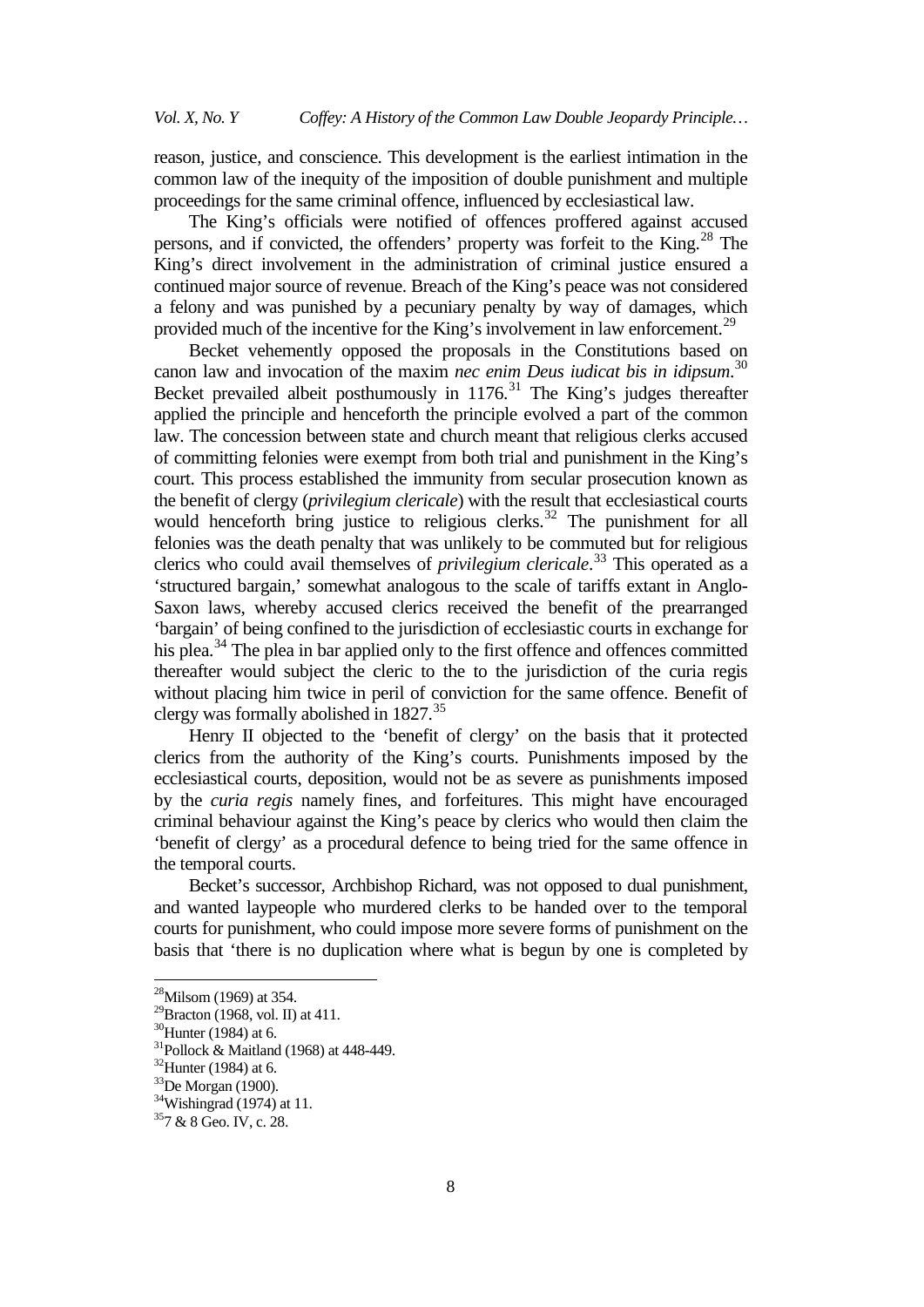reason, justice, and conscience. This development is the earliest intimation in the common law of the inequity of the imposition of double punishment and multiple proceedings for the same criminal offence, influenced by ecclesiastical law.

The King's officials were notified of offences proffered against accused persons, and if convicted, the offenders' property was forfeit to the King.<sup>[28](#page-7-0)</sup> The King's direct involvement in the administration of criminal justice ensured a continued major source of revenue. Breach of the King's peace was not considered a felony and was punished by a pecuniary penalty by way of damages, which provided much of the incentive for the King's involvement in law enforcement.<sup>[29](#page-7-1)</sup>

Becket vehemently opposed the proposals in the Constitutions based on canon law and invocation of the maxim *nec enim Deus iudicat bis in idipsum*. [30](#page-7-2) Becket prevailed albeit posthumously in  $1176$ .<sup>[31](#page-7-3)</sup> The King's judges thereafter applied the principle and henceforth the principle evolved a part of the common law. The concession between state and church meant that religious clerks accused of committing felonies were exempt from both trial and punishment in the King's court. This process established the immunity from secular prosecution known as the benefit of clergy (*privilegium clericale*) with the result that ecclesiastical courts would henceforth bring justice to religious clerks.<sup>[32](#page-7-4)</sup> The punishment for all felonies was the death penalty that was unlikely to be commuted but for religious clerics who could avail themselves of *privilegium clericale*. [33](#page-7-5) This operated as a 'structured bargain,' somewhat analogous to the scale of tariffs extant in Anglo-Saxon laws, whereby accused clerics received the benefit of the prearranged 'bargain' of being confined to the jurisdiction of ecclesiastic courts in exchange for his plea.<sup>[34](#page-7-6)</sup> The plea in bar applied only to the first offence and offences committed thereafter would subject the cleric to the to the jurisdiction of the curia regis without placing him twice in peril of conviction for the same offence. Benefit of clergy was formally abolished in  $1827$ .<sup>35</sup>

Henry II objected to the 'benefit of clergy' on the basis that it protected clerics from the authority of the King's courts. Punishments imposed by the ecclesiastical courts, deposition, would not be as severe as punishments imposed by the *curia regis* namely fines, and forfeitures. This might have encouraged criminal behaviour against the King's peace by clerics who would then claim the 'benefit of clergy' as a procedural defence to being tried for the same offence in the temporal courts.

Becket's successor, Archbishop Richard, was not opposed to dual punishment, and wanted laypeople who murdered clerks to be handed over to the temporal courts for punishment, who could impose more severe forms of punishment on the basis that 'there is no duplication where what is begun by one is completed by

<span id="page-7-0"></span><sup>&</sup>lt;sup>28</sup>Milsom (1969) at 354.

<span id="page-7-1"></span><sup>&</sup>lt;sup>29</sup>Bracton (1968, vol. II) at 411.<br><sup>30</sup>Hunter (1984) at 6.

<span id="page-7-4"></span><span id="page-7-3"></span><span id="page-7-2"></span><sup>&</sup>lt;sup>31</sup>Pollock & Maitland (1968) at 448-449.<br><sup>32</sup>Hunter (1984) at 6.<br><sup>33</sup>De Morgan (1900).<br><sup>34</sup>Wishingrad (1974) at 11.

<span id="page-7-5"></span>

<span id="page-7-7"></span><span id="page-7-6"></span><sup>357 &</sup>amp; 8 Geo. IV, c. 28.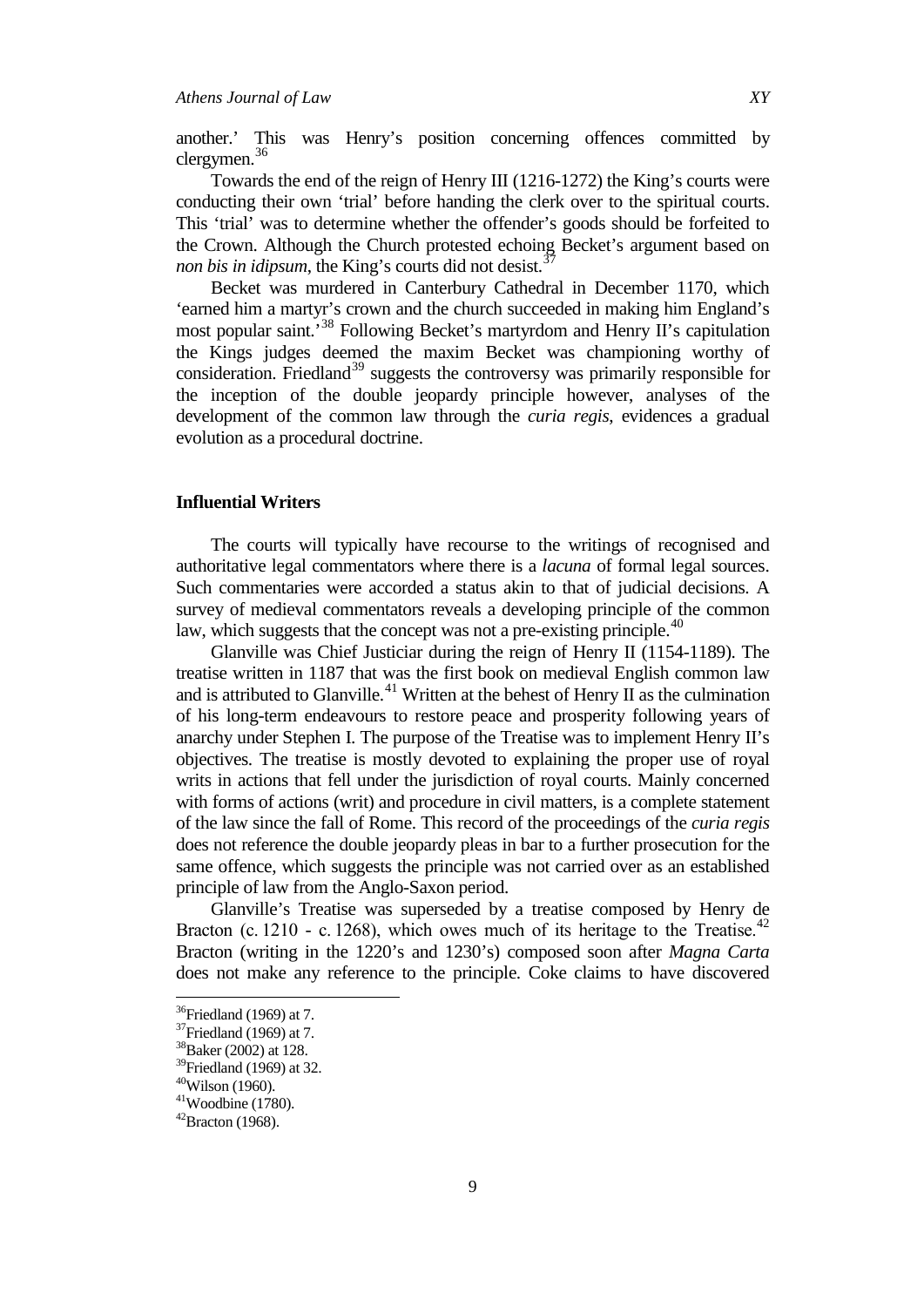another.' This was Henry's position concerning offences committed by clergymen.<sup>[36](#page-8-0)</sup>

Towards the end of the reign of Henry III (1216-1272) the King's courts were conducting their own 'trial' before handing the clerk over to the spiritual courts. This 'trial' was to determine whether the offender's goods should be forfeited to the Crown. Although the Church protested echoing Becket's argument based on *non bis in idipsum*, the King's courts did not desist.<sup>[37](#page-8-1)</sup>

Becket was murdered in Canterbury Cathedral in December 1170, which 'earned him a martyr's crown and the church succeeded in making him England's most popular saint.<sup>[38](#page-8-2)</sup> Following Becket's martyrdom and Henry II's capitulation the Kings judges deemed the maxim Becket was championing worthy of consideration. Friedland<sup>[39](#page-8-3)</sup> suggests the controversy was primarily responsible for the inception of the double jeopardy principle however, analyses of the development of the common law through the *curia regis*, evidences a gradual evolution as a procedural doctrine.

## **Influential Writers**

The courts will typically have recourse to the writings of recognised and authoritative legal commentators where there is a *lacuna* of formal legal sources. Such commentaries were accorded a status akin to that of judicial decisions. A survey of medieval commentators reveals a developing principle of the common law, which suggests that the concept was not a pre-existing principle.<sup> $40$ </sup>

Glanville was Chief Justiciar during the reign of Henry II (1154-1189). The treatise written in 1187 that was the first book on medieval English common law and is attributed to Glanville.<sup>[41](#page-8-5)</sup> Written at the behest of Henry II as the culmination of his long-term endeavours to restore peace and prosperity following years of anarchy under Stephen I. The purpose of the Treatise was to implement Henry II's objectives. The treatise is mostly devoted to explaining the proper use of royal writs in actions that fell under the jurisdiction of royal courts. Mainly concerned with forms of actions (writ) and procedure in civil matters, is a complete statement of the law since the fall of Rome. This record of the proceedings of the *curia regis* does not reference the double jeopardy pleas in bar to a further prosecution for the same offence, which suggests the principle was not carried over as an established principle of law from the Anglo-Saxon period.

Glanville's Treatise was superseded by a treatise composed by Henry de Bracton (c. 1210 - c. 1268), which owes much of its heritage to the Treatise.<sup>[42](#page-8-6)</sup> Bracton (writing in the 1220's and 1230's) composed soon after *Magna Carta* does not make any reference to the principle. Coke claims to have discovered

<span id="page-8-0"></span> $36$ Friedland (1969) at 7.

<span id="page-8-1"></span> $37$ Friedland (1969) at 7.

<span id="page-8-2"></span><sup>38</sup>Baker (2002) at 128.

<span id="page-8-3"></span> $39$ Friedland (1969) at 32.

 $40$ Wilson (1960).

<span id="page-8-5"></span><span id="page-8-4"></span> $41$ Woodbine (1780).

<span id="page-8-6"></span> $42$ Bracton (1968).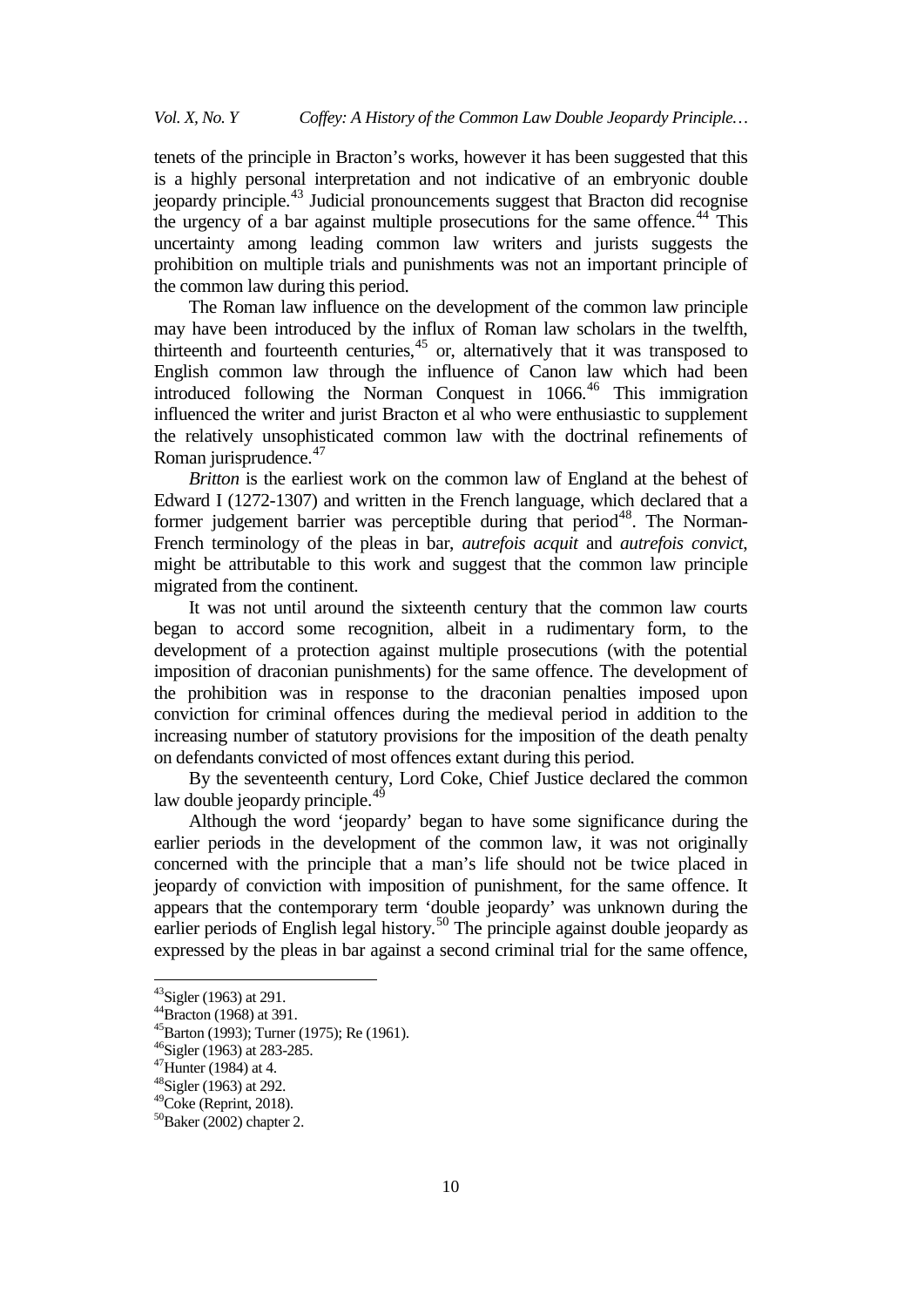tenets of the principle in Bracton's works, however it has been suggested that this is a highly personal interpretation and not indicative of an embryonic double jeopardy principle.[43](#page-9-0) Judicial pronouncements suggest that Bracton did recognise the urgency of a bar against multiple prosecutions for the same offence.<sup>[44](#page-9-1)</sup> This uncertainty among leading common law writers and jurists suggests the prohibition on multiple trials and punishments was not an important principle of the common law during this period.

The Roman law influence on the development of the common law principle may have been introduced by the influx of Roman law scholars in the twelfth, thirteenth and fourteenth centuries, $45$  or, alternatively that it was transposed to English common law through the influence of Canon law which had been introduced following the Norman Conquest in 1066.<sup>[46](#page-9-3)</sup> This immigration influenced the writer and jurist Bracton et al who were enthusiastic to supplement the relatively unsophisticated common law with the doctrinal refinements of Roman jurisprudence. $47$ 

*Britton* is the earliest work on the common law of England at the behest of Edward I (1272-1307) and written in the French language, which declared that a former judgement barrier was perceptible during that period<sup>[48](#page-9-5)</sup>. The Norman-French terminology of the pleas in bar, *autrefois acquit* and *autrefois convict*, might be attributable to this work and suggest that the common law principle migrated from the continent.

It was not until around the sixteenth century that the common law courts began to accord some recognition, albeit in a rudimentary form, to the development of a protection against multiple prosecutions (with the potential imposition of draconian punishments) for the same offence. The development of the prohibition was in response to the draconian penalties imposed upon conviction for criminal offences during the medieval period in addition to the increasing number of statutory provisions for the imposition of the death penalty on defendants convicted of most offences extant during this period.

By the seventeenth century, Lord Coke, Chief Justice declared the common law double jeopardy principle.<sup>[49](#page-9-6)</sup>

Although the word 'jeopardy' began to have some significance during the earlier periods in the development of the common law, it was not originally concerned with the principle that a man's life should not be twice placed in jeopardy of conviction with imposition of punishment, for the same offence. It appears that the contemporary term 'double jeopardy' was unknown during the earlier periods of English legal history.<sup>[50](#page-9-7)</sup> The principle against double jeopardy as expressed by the pleas in bar against a second criminal trial for the same offence,

<span id="page-9-0"></span> $^{43}$ Sigler (1963) at 291.<br> $^{44}$ Bracton (1968) at 391.

<span id="page-9-1"></span>

<span id="page-9-2"></span> $45$ Barton (1993); Turner (1975); Re (1961).

<span id="page-9-3"></span> $^{46}$ Sigler (1963) at 283-285.<br> $^{47}$ Hunter (1984) at 4.

<span id="page-9-5"></span><span id="page-9-4"></span> $48$ Sigler (1963) at 292.

<span id="page-9-6"></span> $49$ Coke (Reprint, 2018).

<span id="page-9-7"></span> $50B$ aker (2002) chapter 2.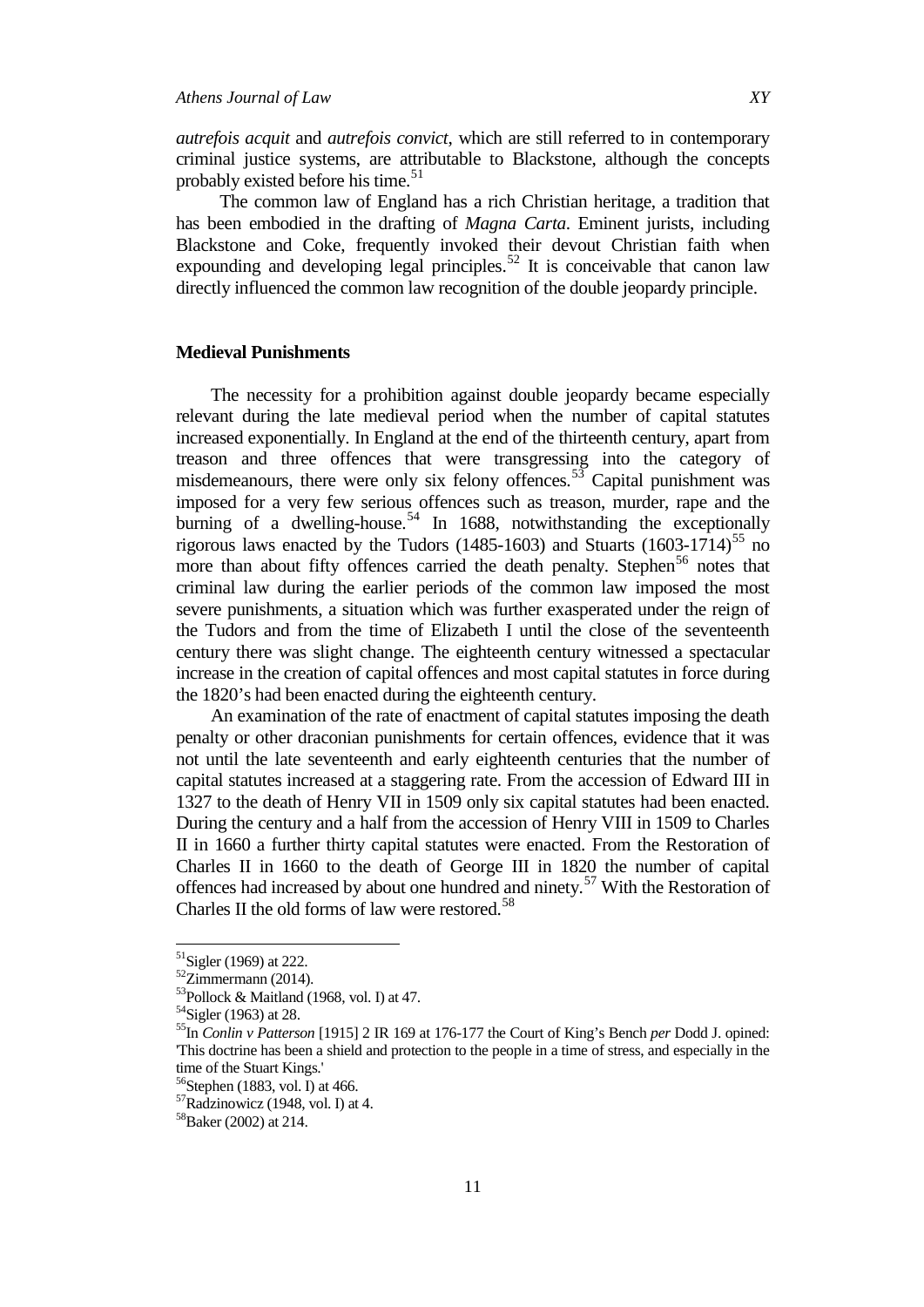*autrefois acquit* and *autrefois convict*, which are still referred to in contemporary criminal justice systems, are attributable to Blackstone, although the concepts probably existed before his time.<sup>[51](#page-10-0)</sup>

The common law of England has a rich Christian heritage, a tradition that has been embodied in the drafting of *Magna Carta*. Eminent jurists, including Blackstone and Coke, frequently invoked their devout Christian faith when expounding and developing legal principles.<sup>[52](#page-10-1)</sup> It is conceivable that canon law directly influenced the common law recognition of the double jeopardy principle.

## **Medieval Punishments**

The necessity for a prohibition against double jeopardy became especially relevant during the late medieval period when the number of capital statutes increased exponentially. In England at the end of the thirteenth century, apart from treason and three offences that were transgressing into the category of misdemeanours, there were only six felony offences.<sup>[53](#page-10-2)</sup> Capital punishment was imposed for a very few serious offences such as treason, murder, rape and the burning of a dwelling-house.<sup>[54](#page-10-3)</sup> In 1688, notwithstanding the exceptionally rigorous laws enacted by the Tudors (1485-1603) and Stuarts (1603-1714)<sup>[55](#page-10-4)</sup> no more than about fifty offences carried the death penalty. Stephen<sup>[56](#page-10-5)</sup> notes that criminal law during the earlier periods of the common law imposed the most severe punishments, a situation which was further exasperated under the reign of the Tudors and from the time of Elizabeth I until the close of the seventeenth century there was slight change. The eighteenth century witnessed a spectacular increase in the creation of capital offences and most capital statutes in force during the 1820's had been enacted during the eighteenth century.

An examination of the rate of enactment of capital statutes imposing the death penalty or other draconian punishments for certain offences, evidence that it was not until the late seventeenth and early eighteenth centuries that the number of capital statutes increased at a staggering rate. From the accession of Edward III in 1327 to the death of Henry VII in 1509 only six capital statutes had been enacted. During the century and a half from the accession of Henry VIII in 1509 to Charles II in 1660 a further thirty capital statutes were enacted. From the Restoration of Charles II in 1660 to the death of George III in 1820 the number of capital offences had increased by about one hundred and ninety.<sup>[57](#page-10-6)</sup> With the Restoration of Charles II the old forms of law were restored.<sup>[58](#page-10-7)</sup>

<span id="page-10-0"></span> $51$ Sigler (1969) at 222.

<span id="page-10-1"></span> $52$ Zimmermann (2014).

<span id="page-10-2"></span><sup>&</sup>lt;sup>53</sup>Pollock & Maitland (1968, vol. I) at 47.<br><sup>54</sup>Sigler (1963) at 28.

<span id="page-10-4"></span><span id="page-10-3"></span><sup>55</sup>In *Conlin v Patterson* [1915] 2 IR 169 at 176-177 the Court of King's Bench *per* Dodd J. opined: 'This doctrine has been a shield and protection to the people in a time of stress, and especially in the time of the Stuart Kings.'<br><sup>56</sup>Stephen (1883, vol. I) at 466.

<span id="page-10-5"></span>

<span id="page-10-6"></span> $57$ Radzinowicz (1948, vol. I) at 4.

<span id="page-10-7"></span><sup>58</sup>Baker (2002) at 214.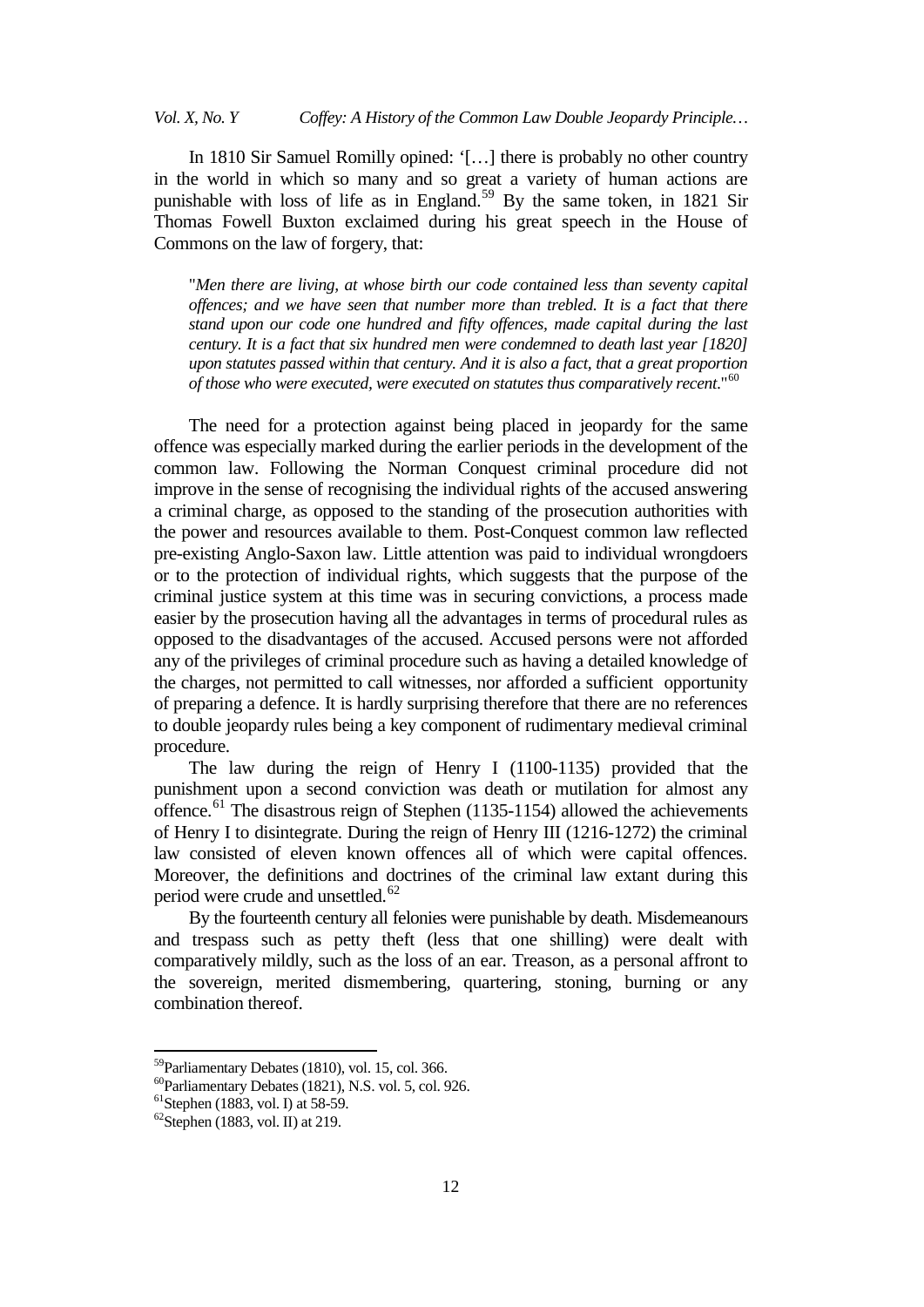*Vol. X, No. Y Coffey: A History of the Common Law Double Jeopardy Principle…*

In 1810 Sir Samuel Romilly opined: '[…] there is probably no other country in the world in which so many and so great a variety of human actions are punishable with loss of life as in England.<sup>[59](#page-11-0)</sup> By the same token, in 1821 Sir Thomas Fowell Buxton exclaimed during his great speech in the House of Commons on the law of forgery, that:

"*Men there are living, at whose birth our code contained less than seventy capital offences; and we have seen that number more than trebled. It is a fact that there stand upon our code one hundred and fifty offences, made capital during the last century. It is a fact that six hundred men were condemned to death last year [1820] upon statutes passed within that century. And it is also a fact, that a great proportion of those who were executed, were executed on statutes thus comparatively recent*."[60](#page-11-1)

The need for a protection against being placed in jeopardy for the same offence was especially marked during the earlier periods in the development of the common law. Following the Norman Conquest criminal procedure did not improve in the sense of recognising the individual rights of the accused answering a criminal charge, as opposed to the standing of the prosecution authorities with the power and resources available to them. Post-Conquest common law reflected pre-existing Anglo-Saxon law. Little attention was paid to individual wrongdoers or to the protection of individual rights, which suggests that the purpose of the criminal justice system at this time was in securing convictions, a process made easier by the prosecution having all the advantages in terms of procedural rules as opposed to the disadvantages of the accused. Accused persons were not afforded any of the privileges of criminal procedure such as having a detailed knowledge of the charges, not permitted to call witnesses, nor afforded a sufficient opportunity of preparing a defence. It is hardly surprising therefore that there are no references to double jeopardy rules being a key component of rudimentary medieval criminal procedure.

The law during the reign of Henry I (1100-1135) provided that the punishment upon a second conviction was death or mutilation for almost any offence.<sup>[61](#page-11-2)</sup> The disastrous reign of Stephen (1135-1154) allowed the achievements of Henry I to disintegrate. During the reign of Henry III (1216-1272) the criminal law consisted of eleven known offences all of which were capital offences. Moreover, the definitions and doctrines of the criminal law extant during this period were crude and unsettled.<sup>[62](#page-11-3)</sup>

By the fourteenth century all felonies were punishable by death. Misdemeanours and trespass such as petty theft (less that one shilling) were dealt with comparatively mildly, such as the loss of an ear. Treason, as a personal affront to the sovereign, merited dismembering, quartering, stoning, burning or any combination thereof.

<span id="page-11-0"></span>59Parliamentary Debates (1810), vol. 15, col. 366.

<span id="page-11-2"></span><span id="page-11-1"></span><sup>&</sup>lt;sup>60</sup>Parliamentary Debates (1821), N.S. vol. 5, col. 926.<br><sup>61</sup>Stephen (1883, vol. I) at 58-59.<br><sup>62</sup>Stephen (1883, vol. II) at 219.

<span id="page-11-3"></span>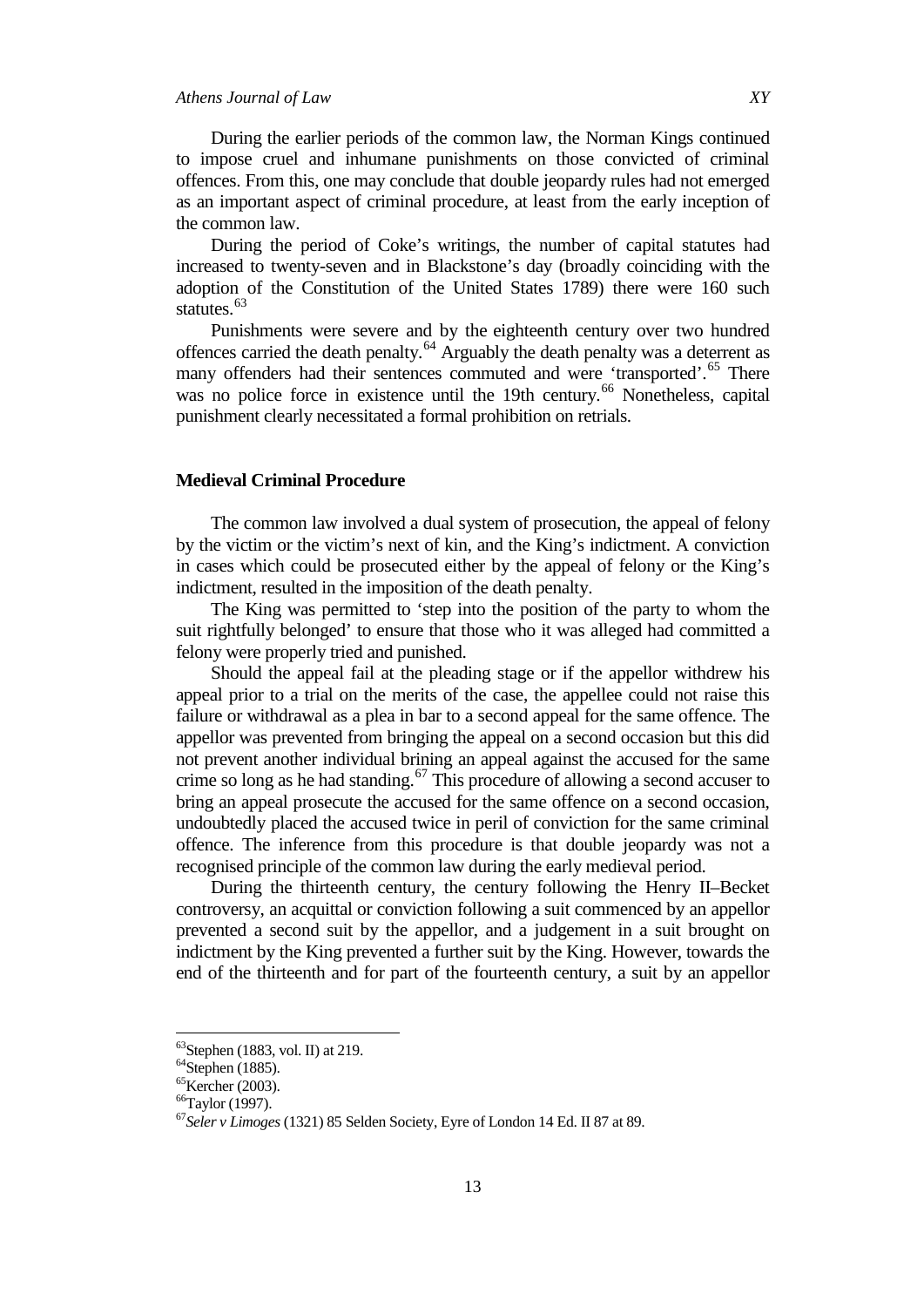During the earlier periods of the common law, the Norman Kings continued to impose cruel and inhumane punishments on those convicted of criminal offences. From this, one may conclude that double jeopardy rules had not emerged as an important aspect of criminal procedure, at least from the early inception of the common law.

During the period of Coke's writings, the number of capital statutes had increased to twenty-seven and in Blackstone's day (broadly coinciding with the adoption of the Constitution of the United States 1789) there were 160 such statutes.<sup>[63](#page-12-0)</sup>

Punishments were severe and by the eighteenth century over two hundred offences carried the death penalty.[64](#page-12-1) Arguably the death penalty was a deterrent as many offenders had their sentences commuted and were 'transported'.<sup>[65](#page-12-2)</sup> There was no police force in existence until the 19th century.<sup>[66](#page-12-3)</sup> Nonetheless, capital punishment clearly necessitated a formal prohibition on retrials.

### **Medieval Criminal Procedure**

The common law involved a dual system of prosecution, the appeal of felony by the victim or the victim's next of kin, and the King's indictment. A conviction in cases which could be prosecuted either by the appeal of felony or the King's indictment, resulted in the imposition of the death penalty.

The King was permitted to 'step into the position of the party to whom the suit rightfully belonged' to ensure that those who it was alleged had committed a felony were properly tried and punished.

Should the appeal fail at the pleading stage or if the appellor withdrew his appeal prior to a trial on the merits of the case, the appellee could not raise this failure or withdrawal as a plea in bar to a second appeal for the same offence. The appellor was prevented from bringing the appeal on a second occasion but this did not prevent another individual brining an appeal against the accused for the same crime so long as he had standing.<sup>[67](#page-12-4)</sup> This procedure of allowing a second accuser to bring an appeal prosecute the accused for the same offence on a second occasion, undoubtedly placed the accused twice in peril of conviction for the same criminal offence. The inference from this procedure is that double jeopardy was not a recognised principle of the common law during the early medieval period.

During the thirteenth century, the century following the Henry II–Becket controversy, an acquittal or conviction following a suit commenced by an appellor prevented a second suit by the appellor, and a judgement in a suit brought on indictment by the King prevented a further suit by the King. However, towards the end of the thirteenth and for part of the fourteenth century, a suit by an appellor

<span id="page-12-0"></span> $63$ Stephen (1883, vol. II) at 219.

<span id="page-12-1"></span> $64$ Stephen (1885).

<span id="page-12-2"></span><sup>65</sup>Kercher (2003).

<span id="page-12-3"></span><sup>66</sup>Taylor (1997).

<span id="page-12-4"></span><sup>67</sup>*Seler v Limoges* (1321) 85 Selden Society, Eyre of London 14 Ed. II 87 at 89.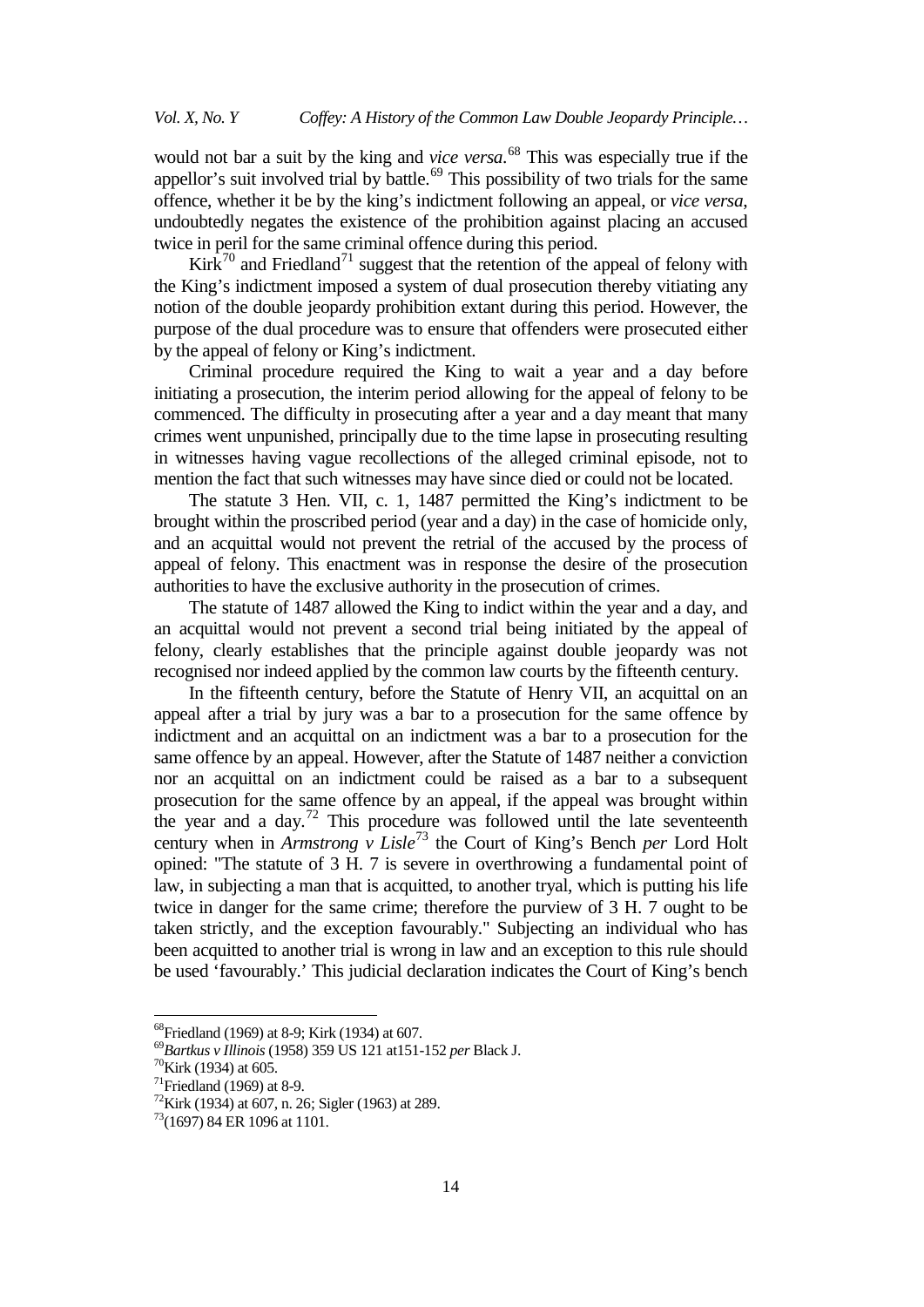would not bar a suit by the king and *vice versa*. [68](#page-13-0) This was especially true if the appellor's suit involved trial by battle.<sup>[69](#page-13-1)</sup> This possibility of two trials for the same offence, whether it be by the king's indictment following an appeal, or *vice versa*, undoubtedly negates the existence of the prohibition against placing an accused twice in peril for the same criminal offence during this period.

Kirk<sup>[70](#page-13-2)</sup> and Friedland<sup>[71](#page-13-3)</sup> suggest that the retention of the appeal of felony with the King's indictment imposed a system of dual prosecution thereby vitiating any notion of the double jeopardy prohibition extant during this period. However, the purpose of the dual procedure was to ensure that offenders were prosecuted either by the appeal of felony or King's indictment.

Criminal procedure required the King to wait a year and a day before initiating a prosecution, the interim period allowing for the appeal of felony to be commenced. The difficulty in prosecuting after a year and a day meant that many crimes went unpunished, principally due to the time lapse in prosecuting resulting in witnesses having vague recollections of the alleged criminal episode, not to mention the fact that such witnesses may have since died or could not be located.

The statute 3 Hen. VII, c. 1, 1487 permitted the King's indictment to be brought within the proscribed period (year and a day) in the case of homicide only, and an acquittal would not prevent the retrial of the accused by the process of appeal of felony. This enactment was in response the desire of the prosecution authorities to have the exclusive authority in the prosecution of crimes.

The statute of 1487 allowed the King to indict within the year and a day, and an acquittal would not prevent a second trial being initiated by the appeal of felony, clearly establishes that the principle against double jeopardy was not recognised nor indeed applied by the common law courts by the fifteenth century.

In the fifteenth century, before the Statute of Henry VII, an acquittal on an appeal after a trial by jury was a bar to a prosecution for the same offence by indictment and an acquittal on an indictment was a bar to a prosecution for the same offence by an appeal. However, after the Statute of 1487 neither a conviction nor an acquittal on an indictment could be raised as a bar to a subsequent prosecution for the same offence by an appeal, if the appeal was brought within the year and a day.<sup>[72](#page-13-4)</sup> This procedure was followed until the late seventeenth century when in *Armstrong v Lisle*[73](#page-13-5) the Court of King's Bench *per* Lord Holt opined: "The statute of 3 H. 7 is severe in overthrowing a fundamental point of law, in subjecting a man that is acquitted, to another tryal, which is putting his life twice in danger for the same crime; therefore the purview of 3 H. 7 ought to be taken strictly, and the exception favourably." Subjecting an individual who has been acquitted to another trial is wrong in law and an exception to this rule should be used 'favourably.' This judicial declaration indicates the Court of King's bench

<span id="page-13-1"></span><span id="page-13-0"></span><sup>&</sup>lt;sup>68</sup>Friedland (1969) at 8-9; Kirk (1934) at 607.<br><sup>69</sup>*Bartkus v Illinois* (1958) 359 US 121 at151-152 *per* Black J.<br><sup>70</sup>Kirk (1934) at 605.<br><sup>71</sup>Friedland (1969) at 8-9.

<span id="page-13-2"></span>

<span id="page-13-3"></span>

<span id="page-13-4"></span> $72$ Kirk (1934) at 607, n. 26; Sigler (1963) at 289.

<span id="page-13-5"></span><sup>73(1697) 84</sup> ER 1096 at 1101.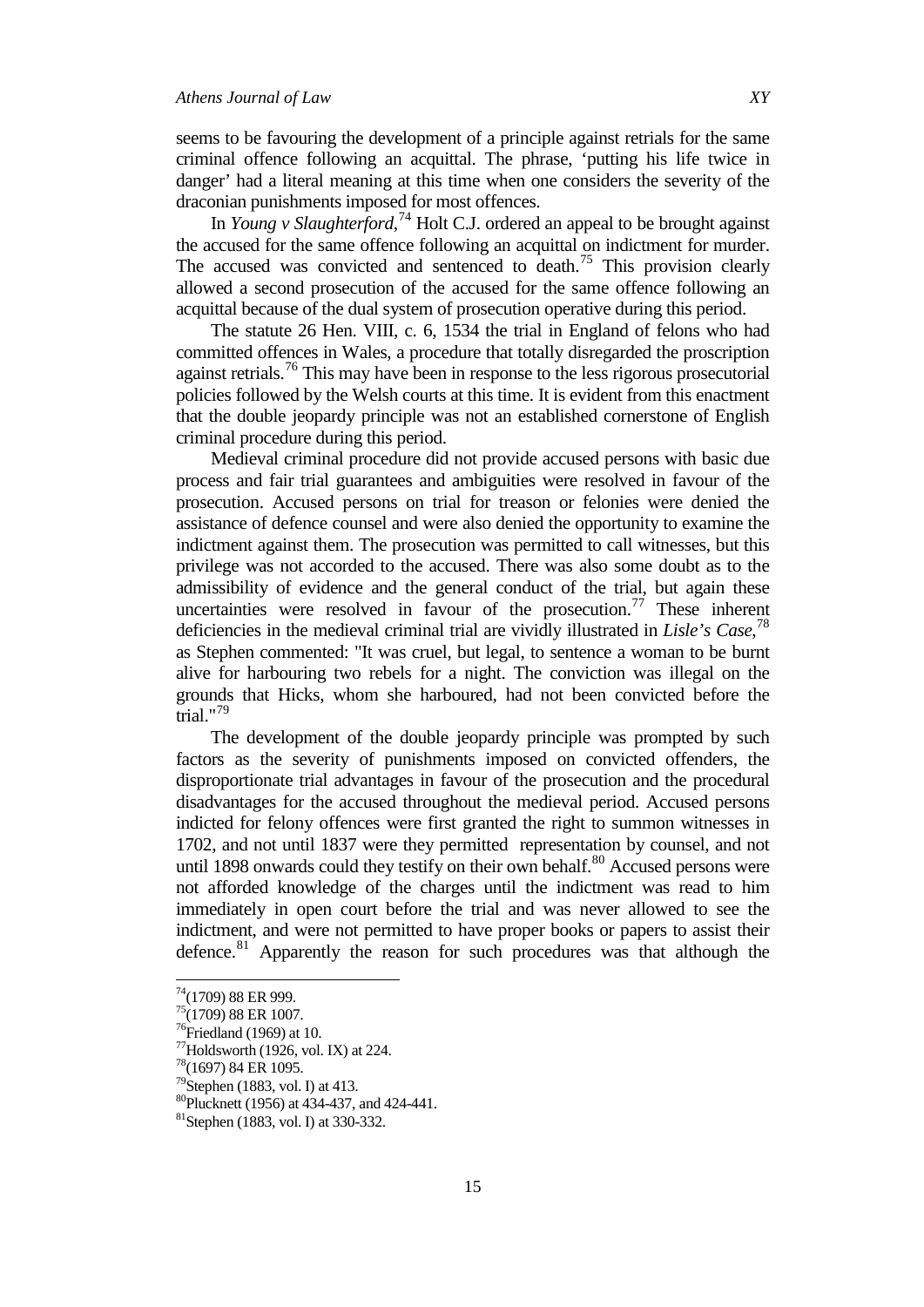seems to be favouring the development of a principle against retrials for the same criminal offence following an acquittal. The phrase, 'putting his life twice in danger' had a literal meaning at this time when one considers the severity of the draconian punishments imposed for most offences.

In *Young v Slaughterford*, [74](#page-14-0) Holt C.J. ordered an appeal to be brought against the accused for the same offence following an acquittal on indictment for murder. The accused was convicted and sentenced to death.<sup>[75](#page-14-1)</sup> This provision clearly allowed a second prosecution of the accused for the same offence following an acquittal because of the dual system of prosecution operative during this period.

The statute 26 Hen. VIII, c. 6, 1534 the trial in England of felons who had committed offences in Wales, a procedure that totally disregarded the proscription against retrials.<sup>[76](#page-14-2)</sup> This may have been in response to the less rigorous prosecutorial policies followed by the Welsh courts at this time. It is evident from this enactment that the double jeopardy principle was not an established cornerstone of English criminal procedure during this period.

Medieval criminal procedure did not provide accused persons with basic due process and fair trial guarantees and ambiguities were resolved in favour of the prosecution. Accused persons on trial for treason or felonies were denied the assistance of defence counsel and were also denied the opportunity to examine the indictment against them. The prosecution was permitted to call witnesses, but this privilege was not accorded to the accused. There was also some doubt as to the admissibility of evidence and the general conduct of the trial, but again these uncertainties were resolved in favour of the prosecution.<sup>[77](#page-14-3)</sup> These inherent deficiencies in the medieval criminal trial are vividly illustrated in *Lisle's Case*, [78](#page-14-4) as Stephen commented: "It was cruel, but legal, to sentence a woman to be burnt alive for harbouring two rebels for a night. The conviction was illegal on the grounds that Hicks, whom she harboured, had not been convicted before the trial."[79](#page-14-5)

The development of the double jeopardy principle was prompted by such factors as the severity of punishments imposed on convicted offenders, the disproportionate trial advantages in favour of the prosecution and the procedural disadvantages for the accused throughout the medieval period. Accused persons indicted for felony offences were first granted the right to summon witnesses in 1702, and not until 1837 were they permitted representation by counsel, and not until 1898 onwards could they testify on their own behalf.<sup>[80](#page-14-6)</sup> Accused persons were not afforded knowledge of the charges until the indictment was read to him immediately in open court before the trial and was never allowed to see the indictment, and were not permitted to have proper books or papers to assist their defence.<sup>[81](#page-14-7)</sup> Apparently the reason for such procedures was that although the

<span id="page-14-0"></span>74(1709) 88 ER 999.

 $75(1709)$  88 ER 1007.

<span id="page-14-2"></span><span id="page-14-1"></span> $76$ Friedland (1969) at 10.

<span id="page-14-3"></span><sup>&</sup>lt;sup>77</sup>Holdsworth (1926, vol. IX) at 224.<br><sup>78</sup>(1697) 84 ER 1095.

<span id="page-14-4"></span>

<span id="page-14-5"></span><sup>&</sup>lt;sup>79</sup>Stephen (1883, vol. I) at 413.

<span id="page-14-6"></span><sup>&</sup>lt;sup>80</sup>Plucknett (1956) at 434-437, and 424-441.<br><sup>81</sup>Stephen (1883, vol. I) at 330-332.

<span id="page-14-7"></span>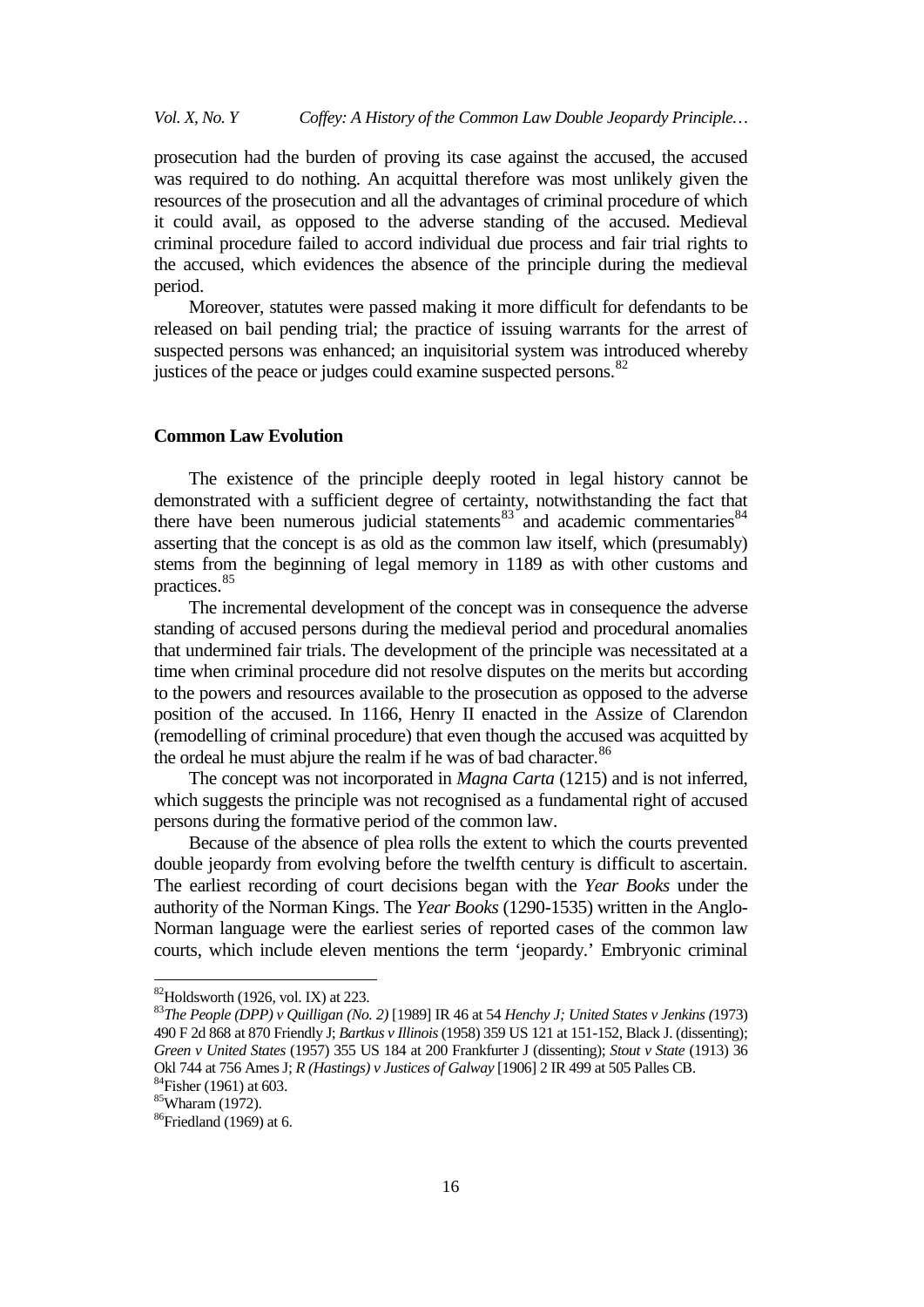*Vol. X, No. Y Coffey: A History of the Common Law Double Jeopardy Principle…*

prosecution had the burden of proving its case against the accused, the accused was required to do nothing. An acquittal therefore was most unlikely given the resources of the prosecution and all the advantages of criminal procedure of which it could avail, as opposed to the adverse standing of the accused. Medieval criminal procedure failed to accord individual due process and fair trial rights to the accused, which evidences the absence of the principle during the medieval period.

Moreover, statutes were passed making it more difficult for defendants to be released on bail pending trial; the practice of issuing warrants for the arrest of suspected persons was enhanced; an inquisitorial system was introduced whereby justices of the peace or judges could examine suspected persons.<sup>[82](#page-15-0)</sup>

## **Common Law Evolution**

The existence of the principle deeply rooted in legal history cannot be demonstrated with a sufficient degree of certainty, notwithstanding the fact that there have been numerous judicial statements $83$  and academic commentaries  $84$ asserting that the concept is as old as the common law itself, which (presumably) stems from the beginning of legal memory in 1189 as with other customs and practices.[85](#page-15-3)

The incremental development of the concept was in consequence the adverse standing of accused persons during the medieval period and procedural anomalies that undermined fair trials. The development of the principle was necessitated at a time when criminal procedure did not resolve disputes on the merits but according to the powers and resources available to the prosecution as opposed to the adverse position of the accused. In 1166, Henry II enacted in the Assize of Clarendon (remodelling of criminal procedure) that even though the accused was acquitted by the ordeal he must abjure the realm if he was of bad character.<sup>[86](#page-15-4)</sup>

The concept was not incorporated in *Magna Carta* (1215) and is not inferred, which suggests the principle was not recognised as a fundamental right of accused persons during the formative period of the common law.

Because of the absence of plea rolls the extent to which the courts prevented double jeopardy from evolving before the twelfth century is difficult to ascertain. The earliest recording of court decisions began with the *Year Books* under the authority of the Norman Kings. The *Year Books* (1290-1535) written in the Anglo-Norman language were the earliest series of reported cases of the common law courts, which include eleven mentions the term 'jeopardy.' Embryonic criminal

<span id="page-15-1"></span><span id="page-15-0"></span>82Holdsworth (1926, vol. IX) at 223. <sup>83</sup>*The People (DPP) v Quilligan (No. 2)* [1989] IR 46 at 54 *Henchy J; United States v Jenkins (*1973) 490 F 2d 868 at 870 Friendly J; *Bartkus v Illinois*(1958) 359 US 121 at 151-152, Black J. (dissenting); *Green v United States* (1957) 355 US 184 at 200 Frankfurter J (dissenting); *Stout v State* (1913) 36 Okl 744 at 756 Ames J; *R (Hastings) v Justices of Galway* [1906] 2 IR 499 at 505 Palles CB. <sup>84</sup>Fisher (1961) at 603.

<span id="page-15-3"></span><span id="page-15-2"></span><sup>85</sup>Wharam (1972).

<span id="page-15-4"></span> $86$ Friedland (1969) at 6.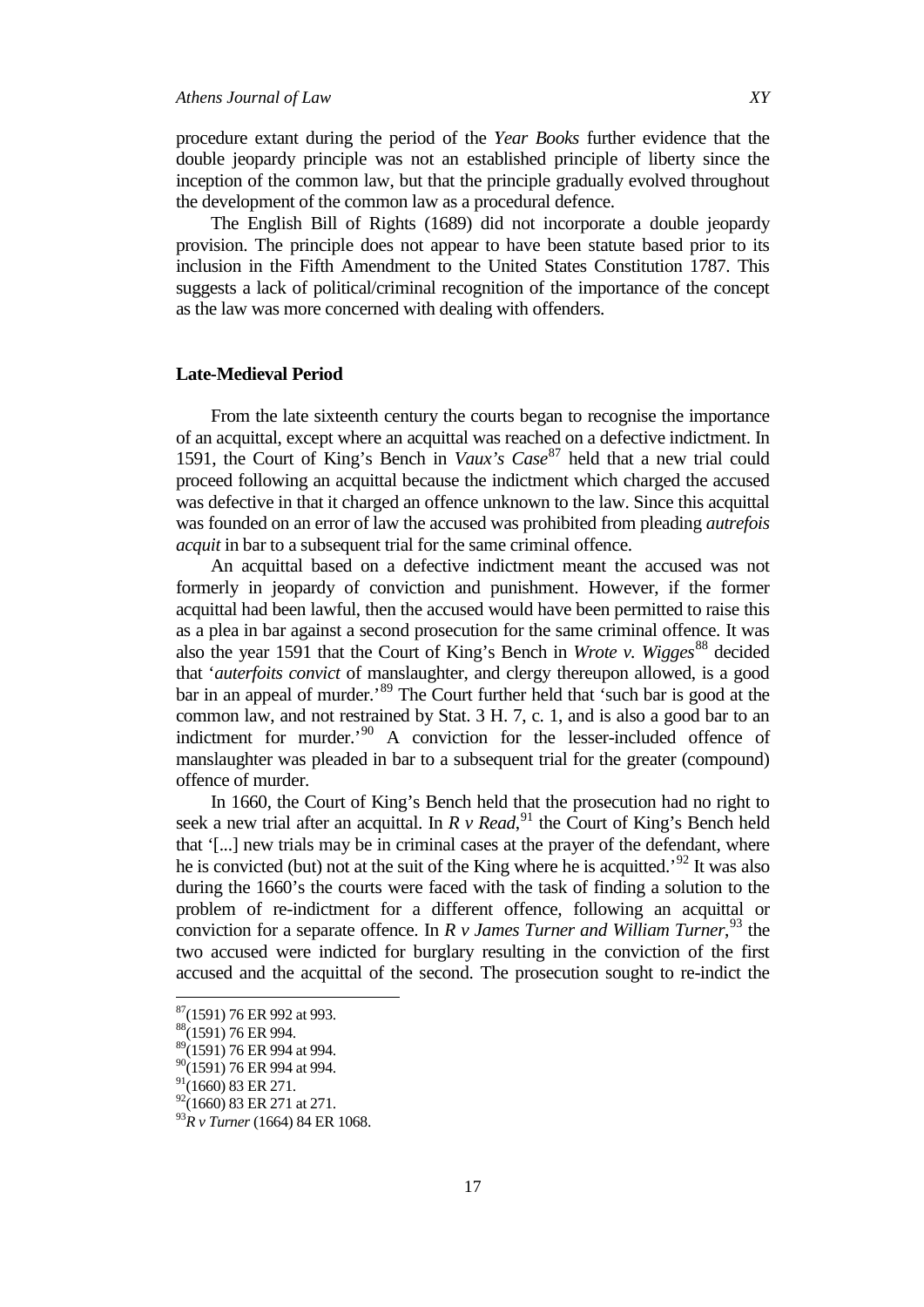procedure extant during the period of the *Year Books* further evidence that the double jeopardy principle was not an established principle of liberty since the inception of the common law, but that the principle gradually evolved throughout the development of the common law as a procedural defence.

The English Bill of Rights (1689) did not incorporate a double jeopardy provision. The principle does not appear to have been statute based prior to its inclusion in the Fifth Amendment to the United States Constitution 1787. This suggests a lack of political/criminal recognition of the importance of the concept as the law was more concerned with dealing with offenders.

## **Late-Medieval Period**

From the late sixteenth century the courts began to recognise the importance of an acquittal, except where an acquittal was reached on a defective indictment. In 1591, the Court of King's Bench in *Vaux's Case*<sup>[87](#page-16-0)</sup> held that a new trial could proceed following an acquittal because the indictment which charged the accused was defective in that it charged an offence unknown to the law. Since this acquittal was founded on an error of law the accused was prohibited from pleading *autrefois acquit* in bar to a subsequent trial for the same criminal offence.

An acquittal based on a defective indictment meant the accused was not formerly in jeopardy of conviction and punishment. However, if the former acquittal had been lawful, then the accused would have been permitted to raise this as a plea in bar against a second prosecution for the same criminal offence. It was also the year 1591 that the Court of King's Bench in *Wrote v. Wigges*<sup>[88](#page-16-1)</sup> decided that '*auterfoits convict* of manslaughter, and clergy thereupon allowed, is a good bar in an appeal of murder.<sup>[89](#page-16-2)</sup> The Court further held that 'such bar is good at the common law, and not restrained by Stat. 3 H. 7, c. 1, and is also a good bar to an indictment for murder.<sup>'[90](#page-16-3)</sup> A conviction for the lesser-included offence of manslaughter was pleaded in bar to a subsequent trial for the greater (compound) offence of murder.

In 1660, the Court of King's Bench held that the prosecution had no right to seek a new trial after an acquittal. In *R v Read*,<sup>[91](#page-16-4)</sup> the Court of King's Bench held that '[...] new trials may be in criminal cases at the prayer of the defendant, where he is convicted (but) not at the suit of the King where he is acquitted.<sup>[92](#page-16-5)</sup> It was also during the 1660's the courts were faced with the task of finding a solution to the problem of re-indictment for a different offence, following an acquittal or conviction for a separate offence. In *R v James Turner and William Turner*, [93](#page-16-6) the two accused were indicted for burglary resulting in the conviction of the first accused and the acquittal of the second. The prosecution sought to re-indict the

<span id="page-16-0"></span>87(1591) 76 ER 992 at 993.

<span id="page-16-1"></span><sup>88(1591) 76</sup> ER 994.

<span id="page-16-2"></span><sup>&</sup>lt;sup>89</sup>(1591) 76 ER 994 at 994.

<span id="page-16-3"></span> $90(1591)$  76 ER 994 at 994.

<span id="page-16-4"></span> $^{91}$ (1660) 83 ER 271.<br> $^{92}$ (1660) 83 ER 271 at 271.

<span id="page-16-6"></span><span id="page-16-5"></span><sup>&</sup>lt;sup>93</sup>R v Turner (1664) 84 ER 1068.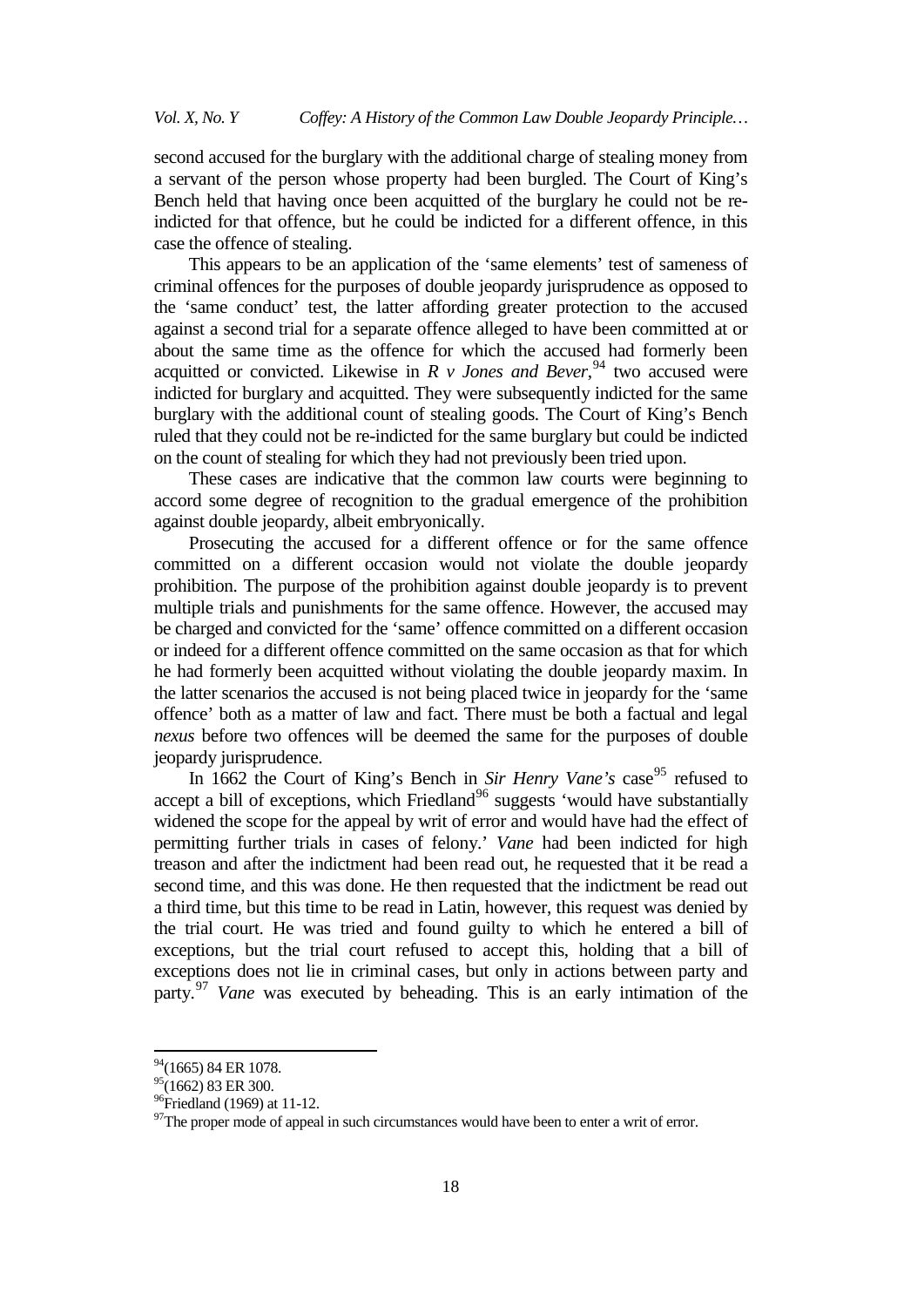second accused for the burglary with the additional charge of stealing money from a servant of the person whose property had been burgled. The Court of King's Bench held that having once been acquitted of the burglary he could not be reindicted for that offence, but he could be indicted for a different offence, in this case the offence of stealing.

This appears to be an application of the 'same elements' test of sameness of criminal offences for the purposes of double jeopardy jurisprudence as opposed to the 'same conduct' test, the latter affording greater protection to the accused against a second trial for a separate offence alleged to have been committed at or about the same time as the offence for which the accused had formerly been acquitted or convicted. Likewise in  $R$  v *Jones and Bever*,  $94$  two accused were indicted for burglary and acquitted. They were subsequently indicted for the same burglary with the additional count of stealing goods. The Court of King's Bench ruled that they could not be re-indicted for the same burglary but could be indicted on the count of stealing for which they had not previously been tried upon.

These cases are indicative that the common law courts were beginning to accord some degree of recognition to the gradual emergence of the prohibition against double jeopardy, albeit embryonically.

Prosecuting the accused for a different offence or for the same offence committed on a different occasion would not violate the double jeopardy prohibition. The purpose of the prohibition against double jeopardy is to prevent multiple trials and punishments for the same offence. However, the accused may be charged and convicted for the 'same' offence committed on a different occasion or indeed for a different offence committed on the same occasion as that for which he had formerly been acquitted without violating the double jeopardy maxim. In the latter scenarios the accused is not being placed twice in jeopardy for the 'same offence' both as a matter of law and fact. There must be both a factual and legal *nexus* before two offences will be deemed the same for the purposes of double jeopardy jurisprudence.

In 1662 the Court of King's Bench in *Sir Henry Vane's* case<sup>[95](#page-17-1)</sup> refused to accept a bill of exceptions, which Friedland<sup>[96](#page-17-2)</sup> suggests 'would have substantially widened the scope for the appeal by writ of error and would have had the effect of permitting further trials in cases of felony.' *Vane* had been indicted for high treason and after the indictment had been read out, he requested that it be read a second time, and this was done. He then requested that the indictment be read out a third time, but this time to be read in Latin, however, this request was denied by the trial court. He was tried and found guilty to which he entered a bill of exceptions, but the trial court refused to accept this, holding that a bill of exceptions does not lie in criminal cases, but only in actions between party and party.[97](#page-17-3) *Vane* was executed by beheading. This is an early intimation of the

<span id="page-17-0"></span><sup>&</sup>lt;sup>94</sup>(1665) 84 ER 1078.

<span id="page-17-1"></span> $^{95}$ (1662) 83 ER 300.<br><sup>96</sup>Friedland (1969) at 11-12.

<span id="page-17-3"></span><span id="page-17-2"></span> $97$ The proper mode of appeal in such circumstances would have been to enter a writ of error.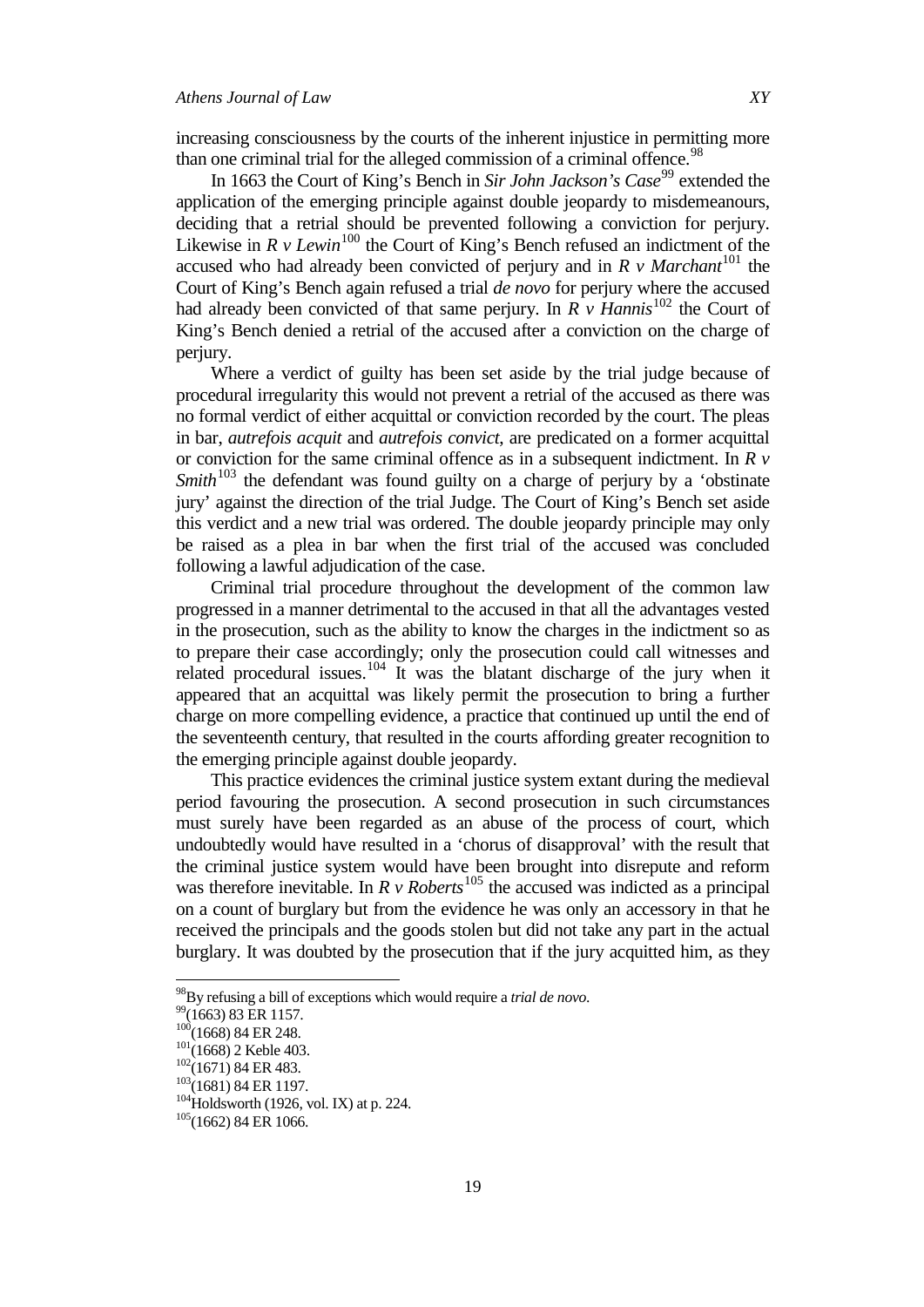increasing consciousness by the courts of the inherent injustice in permitting more than one criminal trial for the alleged commission of a criminal offence.<sup>[98](#page-18-0)</sup>

In 1663 the Court of King's Bench in *Sir John Jackson's Case*<sup>[99](#page-18-1)</sup> extended the application of the emerging principle against double jeopardy to misdemeanours, deciding that a retrial should be prevented following a conviction for perjury. Likewise in  $R v Lewn$ <sup>[100](#page-18-2)</sup> the Court of King's Bench refused an indictment of the accused who had already been convicted of perjury and in  $R \nu$  Marchant<sup>[101](#page-18-3)</sup> the Court of King's Bench again refused a trial *de novo* for perjury where the accused had already been convicted of that same perjury. In  $R \nu$  *Hannis*<sup>[102](#page-18-4)</sup> the Court of King's Bench denied a retrial of the accused after a conviction on the charge of perjury.

Where a verdict of guilty has been set aside by the trial judge because of procedural irregularity this would not prevent a retrial of the accused as there was no formal verdict of either acquittal or conviction recorded by the court. The pleas in bar, *autrefois acquit* and *autrefois convict*, are predicated on a former acquittal or conviction for the same criminal offence as in a subsequent indictment. In *R v Smith*<sup>[103](#page-18-5)</sup> the defendant was found guilty on a charge of perjury by a 'obstinate' jury' against the direction of the trial Judge. The Court of King's Bench set aside this verdict and a new trial was ordered. The double jeopardy principle may only be raised as a plea in bar when the first trial of the accused was concluded following a lawful adjudication of the case.

Criminal trial procedure throughout the development of the common law progressed in a manner detrimental to the accused in that all the advantages vested in the prosecution, such as the ability to know the charges in the indictment so as to prepare their case accordingly; only the prosecution could call witnesses and related procedural issues.<sup>[104](#page-18-6)</sup> It was the blatant discharge of the jury when it appeared that an acquittal was likely permit the prosecution to bring a further charge on more compelling evidence, a practice that continued up until the end of the seventeenth century, that resulted in the courts affording greater recognition to the emerging principle against double jeopardy.

This practice evidences the criminal justice system extant during the medieval period favouring the prosecution. A second prosecution in such circumstances must surely have been regarded as an abuse of the process of court, which undoubtedly would have resulted in a 'chorus of disapproval' with the result that the criminal justice system would have been brought into disrepute and reform was therefore inevitable. In *R v Roberts*<sup>[105](#page-18-7)</sup> the accused was indicted as a principal on a count of burglary but from the evidence he was only an accessory in that he received the principals and the goods stolen but did not take any part in the actual burglary. It was doubted by the prosecution that if the jury acquitted him, as they

<span id="page-18-1"></span><span id="page-18-0"></span><sup>&</sup>lt;sup>98</sup>By refusing a bill of exceptions which would require a *trial de novo*.<br><sup>99</sup>(1663) 83 ER 1157.<br><sup>100</sup>(1668) 84 ER 248.<br><sup>101</sup>(1668) 2 Keble 403.<br><sup>102</sup>(1671) 84 ER 483.<br><sup>103</sup>(1681) 84 ER 1197.<br><sup>104</sup>Holdsworth (1926, vol.

<span id="page-18-2"></span>

<span id="page-18-3"></span>

<span id="page-18-4"></span>

<span id="page-18-5"></span>

<span id="page-18-7"></span><span id="page-18-6"></span>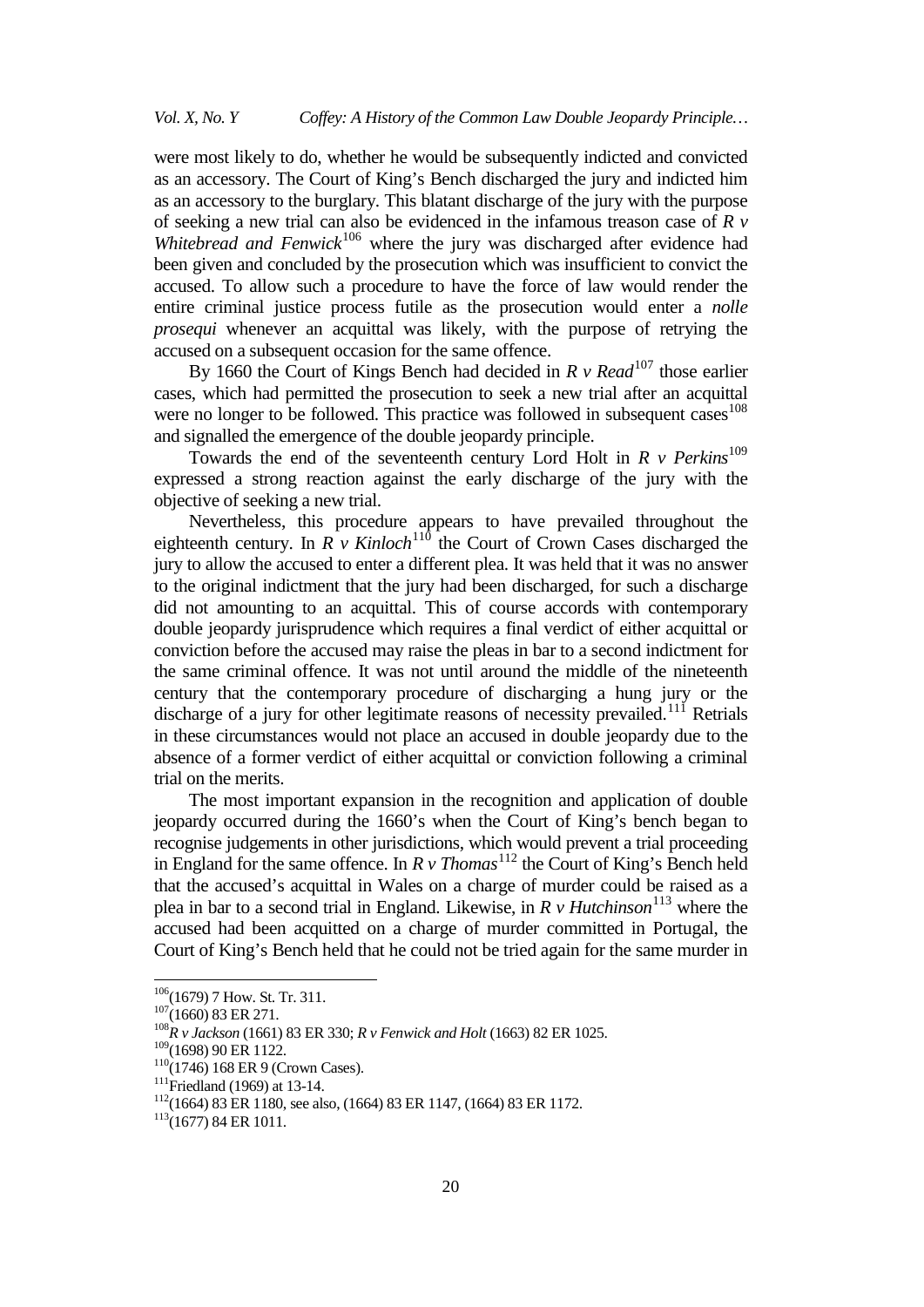were most likely to do, whether he would be subsequently indicted and convicted as an accessory. The Court of King's Bench discharged the jury and indicted him as an accessory to the burglary. This blatant discharge of the jury with the purpose of seeking a new trial can also be evidenced in the infamous treason case of *R v*  Whitebread and Fenwick<sup>[106](#page-19-0)</sup> where the jury was discharged after evidence had been given and concluded by the prosecution which was insufficient to convict the accused. To allow such a procedure to have the force of law would render the entire criminal justice process futile as the prosecution would enter a *nolle prosequi* whenever an acquittal was likely, with the purpose of retrying the accused on a subsequent occasion for the same offence.

By 1660 the Court of Kings Bench had decided in *R v Read*<sup>[107](#page-19-1)</sup> those earlier cases, which had permitted the prosecution to seek a new trial after an acquittal were no longer to be followed. This practice was followed in subsequent cases $^{108}$  $^{108}$  $^{108}$ and signalled the emergence of the double jeopardy principle.

Towards the end of the seventeenth century Lord Holt in  $R$  v  $Perkins$ <sup>[109](#page-19-3)</sup> expressed a strong reaction against the early discharge of the jury with the objective of seeking a new trial.

Nevertheless, this procedure appears to have prevailed throughout the eighteenth century. In *R v Kinloch*<sup>[110](#page-19-4)</sup> the Court of Crown Cases discharged the jury to allow the accused to enter a different plea. It was held that it was no answer to the original indictment that the jury had been discharged, for such a discharge did not amounting to an acquittal. This of course accords with contemporary double jeopardy jurisprudence which requires a final verdict of either acquittal or conviction before the accused may raise the pleas in bar to a second indictment for the same criminal offence. It was not until around the middle of the nineteenth century that the contemporary procedure of discharging a hung jury or the discharge of a jury for other legitimate reasons of necessity prevailed.<sup>[111](#page-19-5)</sup> Retrials in these circumstances would not place an accused in double jeopardy due to the absence of a former verdict of either acquittal or conviction following a criminal trial on the merits.

The most important expansion in the recognition and application of double jeopardy occurred during the 1660's when the Court of King's bench began to recognise judgements in other jurisdictions, which would prevent a trial proceeding in England for the same offence. In  $R \, v \, Thomas<sup>112</sup>$  $R \, v \, Thomas<sup>112</sup>$  $R \, v \, Thomas<sup>112</sup>$  the Court of King's Bench held that the accused's acquittal in Wales on a charge of murder could be raised as a plea in bar to a second trial in England. Likewise, in *R v Hutchinson*<sup>[113](#page-19-7)</sup> where the accused had been acquitted on a charge of murder committed in Portugal, the Court of King's Bench held that he could not be tried again for the same murder in

<span id="page-19-2"></span><span id="page-19-1"></span>

<span id="page-19-0"></span><sup>&</sup>lt;sup>106</sup>(1679) 7 How. St. Tr. 311.<br><sup>107</sup>(1660) 83 ER 271.<br><sup>108</sup>*R v Jackson* (1661) 83 ER 330; *R v Fenwick and Holt* (1663) 82 ER 1025.<br><sup>109</sup>(1698) 90 ER 1122.

<span id="page-19-6"></span><span id="page-19-5"></span>

<span id="page-19-4"></span><span id="page-19-3"></span><sup>&</sup>lt;sup>110</sup>(1746) 168 ER 9 (Crown Cases).<br><sup>111</sup>Friedland (1969) at 13-14.<br><sup>112</sup>(1664) 83 ER 1180, see also, (1664) 83 ER 1147, (1664) 83 ER 1172.<br><sup>113</sup>(1677) 84 ER 1011.

<span id="page-19-7"></span>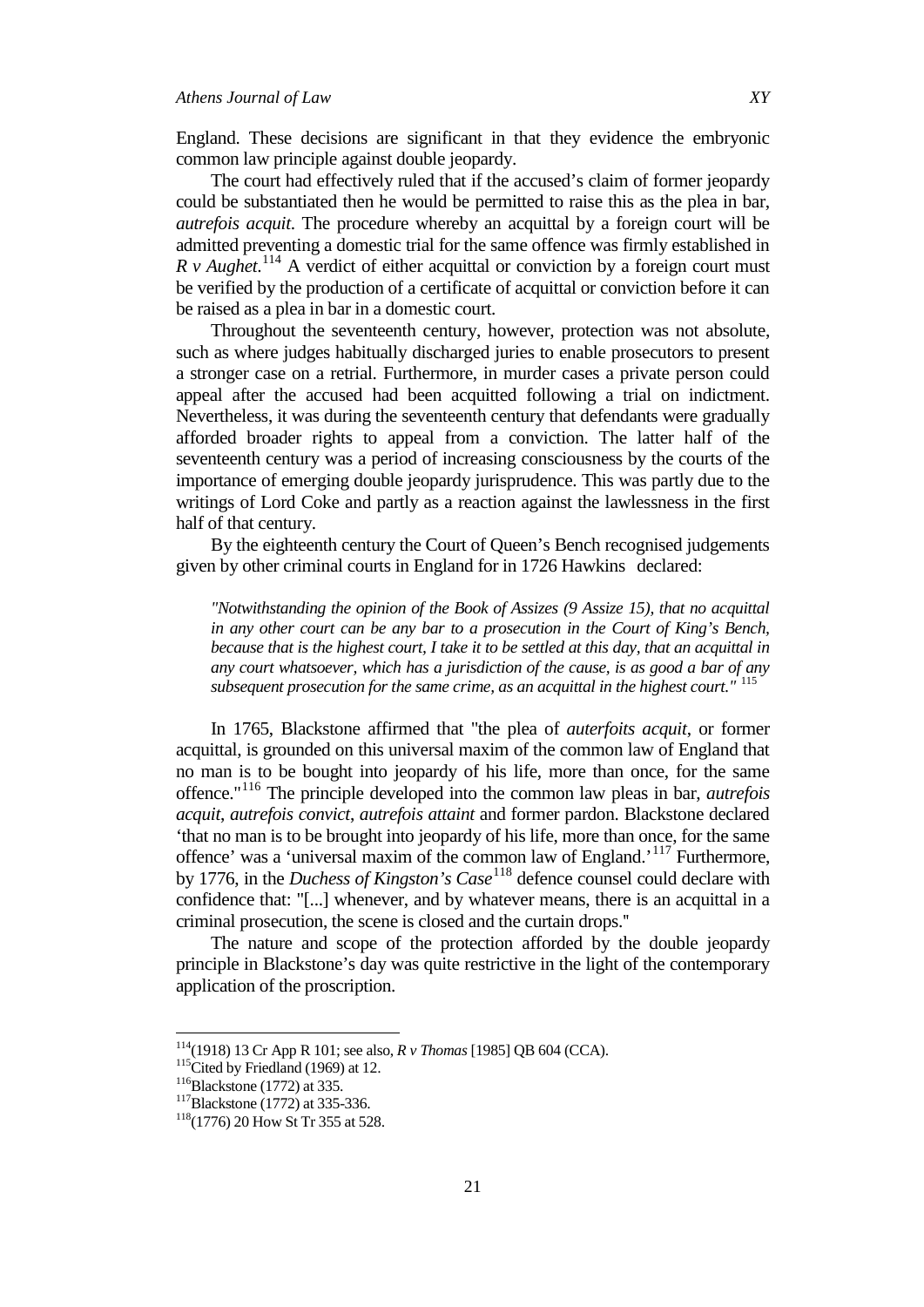England. These decisions are significant in that they evidence the embryonic common law principle against double jeopardy.

The court had effectively ruled that if the accused's claim of former jeopardy could be substantiated then he would be permitted to raise this as the plea in bar, *autrefois acquit*. The procedure whereby an acquittal by a foreign court will be admitted preventing a domestic trial for the same offence was firmly established in *R v Aughet*.<sup>[114](#page-20-0)</sup> A verdict of either acquittal or conviction by a foreign court must be verified by the production of a certificate of acquittal or conviction before it can be raised as a plea in bar in a domestic court.

Throughout the seventeenth century, however, protection was not absolute, such as where judges habitually discharged juries to enable prosecutors to present a stronger case on a retrial. Furthermore, in murder cases a private person could appeal after the accused had been acquitted following a trial on indictment. Nevertheless, it was during the seventeenth century that defendants were gradually afforded broader rights to appeal from a conviction. The latter half of the seventeenth century was a period of increasing consciousness by the courts of the importance of emerging double jeopardy jurisprudence. This was partly due to the writings of Lord Coke and partly as a reaction against the lawlessness in the first half of that century.

By the eighteenth century the Court of Queen's Bench recognised judgements given by other criminal courts in England for in 1726 Hawkins declared:

*"Notwithstanding the opinion of the Book of Assizes (9 Assize 15), that no acquittal in any other court can be any bar to a prosecution in the Court of King's Bench, because that is the highest court, I take it to be settled at this day, that an acquittal in any court whatsoever, which has a jurisdiction of the cause, is as good a bar of any subsequent prosecution for the same crime, as an acquittal in the highest court."* [115](#page-20-1)

In 1765, Blackstone affirmed that "the plea of *auterfoits acquit*, or former acquittal, is grounded on this universal maxim of the common law of England that no man is to be bought into jeopardy of his life, more than once, for the same offence."[116](#page-20-2) The principle developed into the common law pleas in bar, *autrefois acquit*, *autrefois convict*, *autrefois attaint* and former pardon. Blackstone declared 'that no man is to be brought into jeopardy of his life, more than once, for the same offence' was a 'universal maxim of the common law of England.'[117](#page-20-3) Furthermore, by 1776, in the *Duchess of Kingston's Case*[118](#page-20-4) defence counsel could declare with confidence that: "[...] whenever, and by whatever means, there is an acquittal in a criminal prosecution, the scene is closed and the curtain drops.''

The nature and scope of the protection afforded by the double jeopardy principle in Blackstone's day was quite restrictive in the light of the contemporary application of the proscription.

<span id="page-20-1"></span><span id="page-20-0"></span><sup>&</sup>lt;sup>114</sup>(1918) 13 Cr App R 101; see also, *R v Thomas* [1985] QB 604 (CCA).<br><sup>115</sup>Cited by Friedland (1969) at 12.<br><sup>116</sup>Blackstone (1772) at 335-336.<br><sup>117</sup>Blackstone (1772) at 335-336.<br><sup>118</sup>(1776) 20 How St Tr 355 at 528.

<span id="page-20-2"></span>

<span id="page-20-3"></span>

<span id="page-20-4"></span>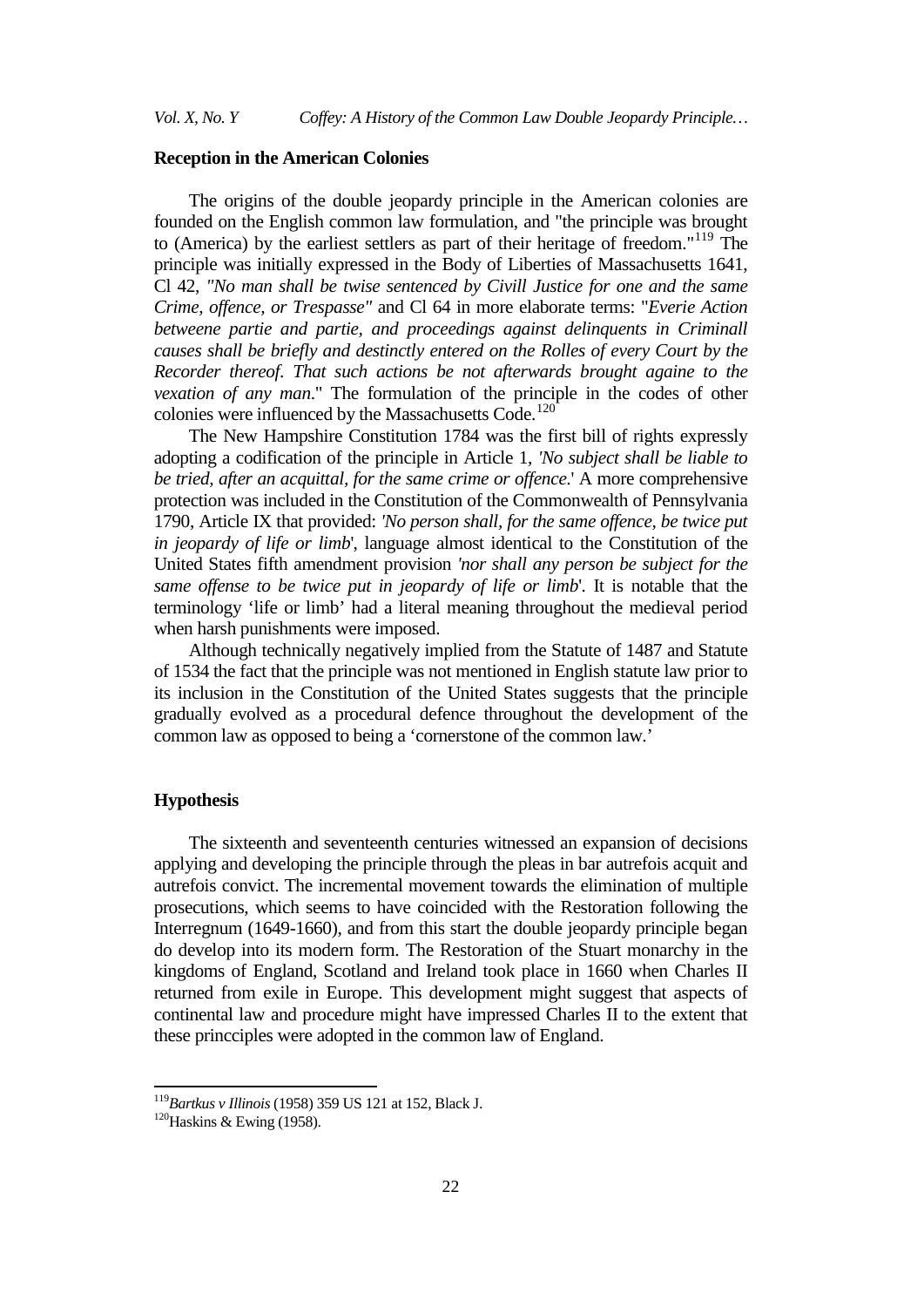## **Reception in the American Colonies**

The origins of the double jeopardy principle in the American colonies are founded on the English common law formulation, and "the principle was brought to (America) by the earliest settlers as part of their heritage of freedom."[119](#page-21-0) The principle was initially expressed in the Body of Liberties of Massachusetts 1641, Cl 42, *"No man shall be twise sentenced by Civill Justice for one and the same Crime, offence, or Trespasse"* and Cl 64 in more elaborate terms: "*Everie Action betweene partie and partie, and proceedings against delinquents in Criminall causes shall be briefly and destinctly entered on the Rolles of every Court by the Recorder thereof. That such actions be not afterwards brought againe to the vexation of any man*." The formulation of the principle in the codes of other colonies were influenced by the Massachusetts Code.<sup>[120](#page-21-1)</sup>

The New Hampshire Constitution 1784 was the first bill of rights expressly adopting a codification of the principle in Article 1, *'No subject shall be liable to be tried, after an acquittal, for the same crime or offence*.' A more comprehensive protection was included in the Constitution of the Commonwealth of Pennsylvania 1790, Article IX that provided: *'No person shall, for the same offence, be twice put in jeopardy of life or limb*', language almost identical to the Constitution of the United States fifth amendment provision *'nor shall any person be subject for the same offense to be twice put in jeopardy of life or limb*'. It is notable that the terminology 'life or limb' had a literal meaning throughout the medieval period when harsh punishments were imposed.

Although technically negatively implied from the Statute of 1487 and Statute of 1534 the fact that the principle was not mentioned in English statute law prior to its inclusion in the Constitution of the United States suggests that the principle gradually evolved as a procedural defence throughout the development of the common law as opposed to being a 'cornerstone of the common law.'

#### **Hypothesis**

The sixteenth and seventeenth centuries witnessed an expansion of decisions applying and developing the principle through the pleas in bar autrefois acquit and autrefois convict. The incremental movement towards the elimination of multiple prosecutions, which seems to have coincided with the Restoration following the Interregnum (1649-1660), and from this start the double jeopardy principle began do develop into its modern form. The Restoration of the Stuart monarchy in the kingdoms of England, Scotland and Ireland took place in 1660 when Charles II returned from exile in Europe. This development might suggest that aspects of continental law and procedure might have impressed Charles II to the extent that these princciples were adopted in the common law of England.

<span id="page-21-1"></span><span id="page-21-0"></span><sup>&</sup>lt;sup>119</sup>*Bartkus v Illinois* (1958) 359 US 121 at 152, Black J.<br><sup>120</sup>Haskins & Ewing (1958).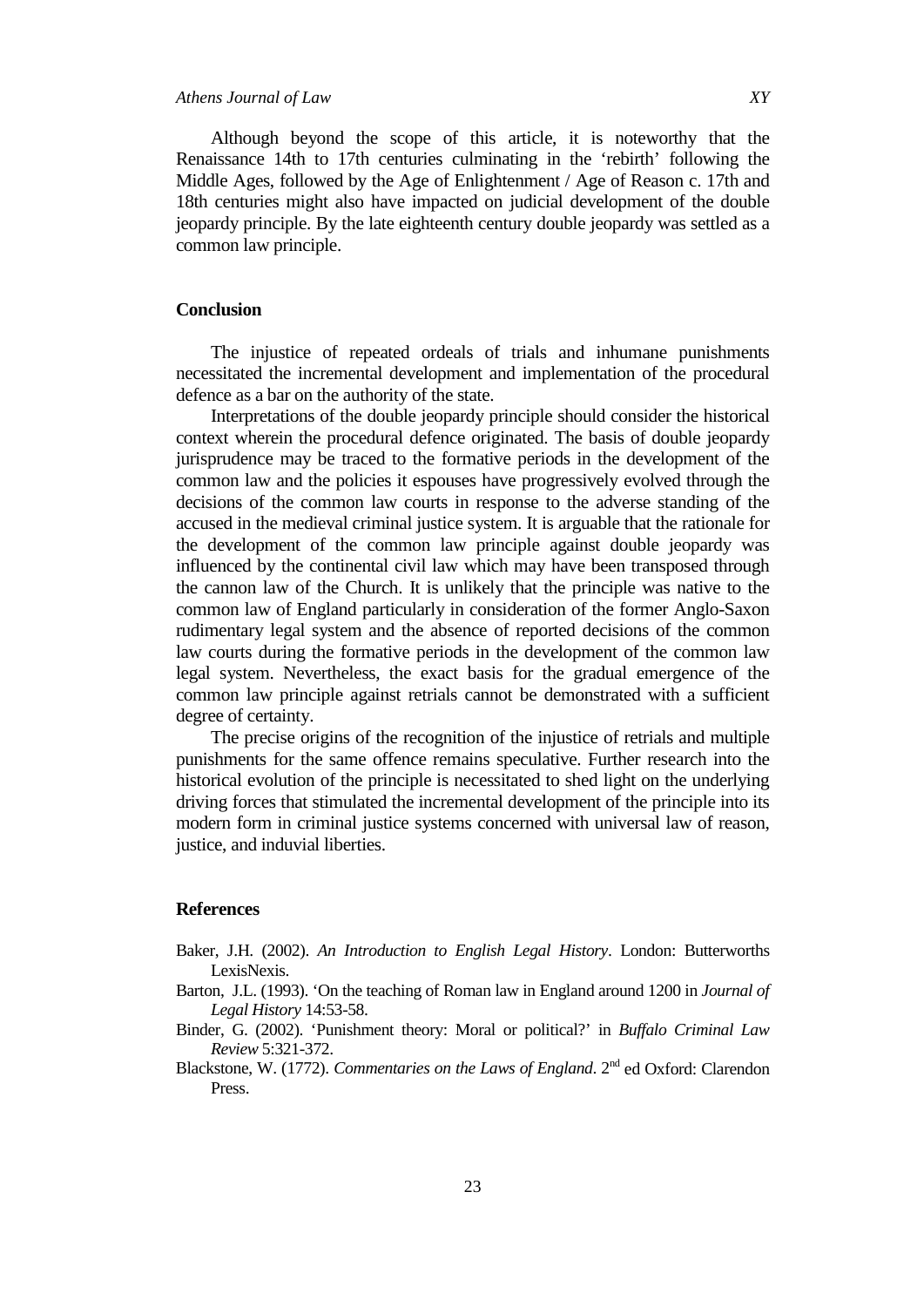## *Athens Journal of Law XY*

Although beyond the scope of this article, it is noteworthy that the Renaissance 14th to 17th centuries culminating in the 'rebirth' following the Middle Ages, followed by the Age of Enlightenment / Age of Reason c. 17th and 18th centuries might also have impacted on judicial development of the double jeopardy principle. By the late eighteenth century double jeopardy was settled as a common law principle.

### **Conclusion**

The injustice of repeated ordeals of trials and inhumane punishments necessitated the incremental development and implementation of the procedural defence as a bar on the authority of the state.

Interpretations of the double jeopardy principle should consider the historical context wherein the procedural defence originated. The basis of double jeopardy jurisprudence may be traced to the formative periods in the development of the common law and the policies it espouses have progressively evolved through the decisions of the common law courts in response to the adverse standing of the accused in the medieval criminal justice system. It is arguable that the rationale for the development of the common law principle against double jeopardy was influenced by the continental civil law which may have been transposed through the cannon law of the Church. It is unlikely that the principle was native to the common law of England particularly in consideration of the former Anglo-Saxon rudimentary legal system and the absence of reported decisions of the common law courts during the formative periods in the development of the common law legal system. Nevertheless, the exact basis for the gradual emergence of the common law principle against retrials cannot be demonstrated with a sufficient degree of certainty.

The precise origins of the recognition of the injustice of retrials and multiple punishments for the same offence remains speculative. Further research into the historical evolution of the principle is necessitated to shed light on the underlying driving forces that stimulated the incremental development of the principle into its modern form in criminal justice systems concerned with universal law of reason, justice, and induvial liberties.

#### **References**

- Baker, J.H. (2002). *An Introduction to English Legal History*. London: Butterworths LexisNexis.
- Barton, J.L. (1993). 'On the teaching of Roman law in England around 1200 in *Journal of Legal History* 14:53-58.
- Binder, G. (2002). 'Punishment theory: Moral or political?' in *Buffalo Criminal Law Review* 5:321-372.
- Blackstone, W. (1772). *Commentaries on the Laws of England*. 2<sup>nd</sup> ed Oxford: Clarendon Press.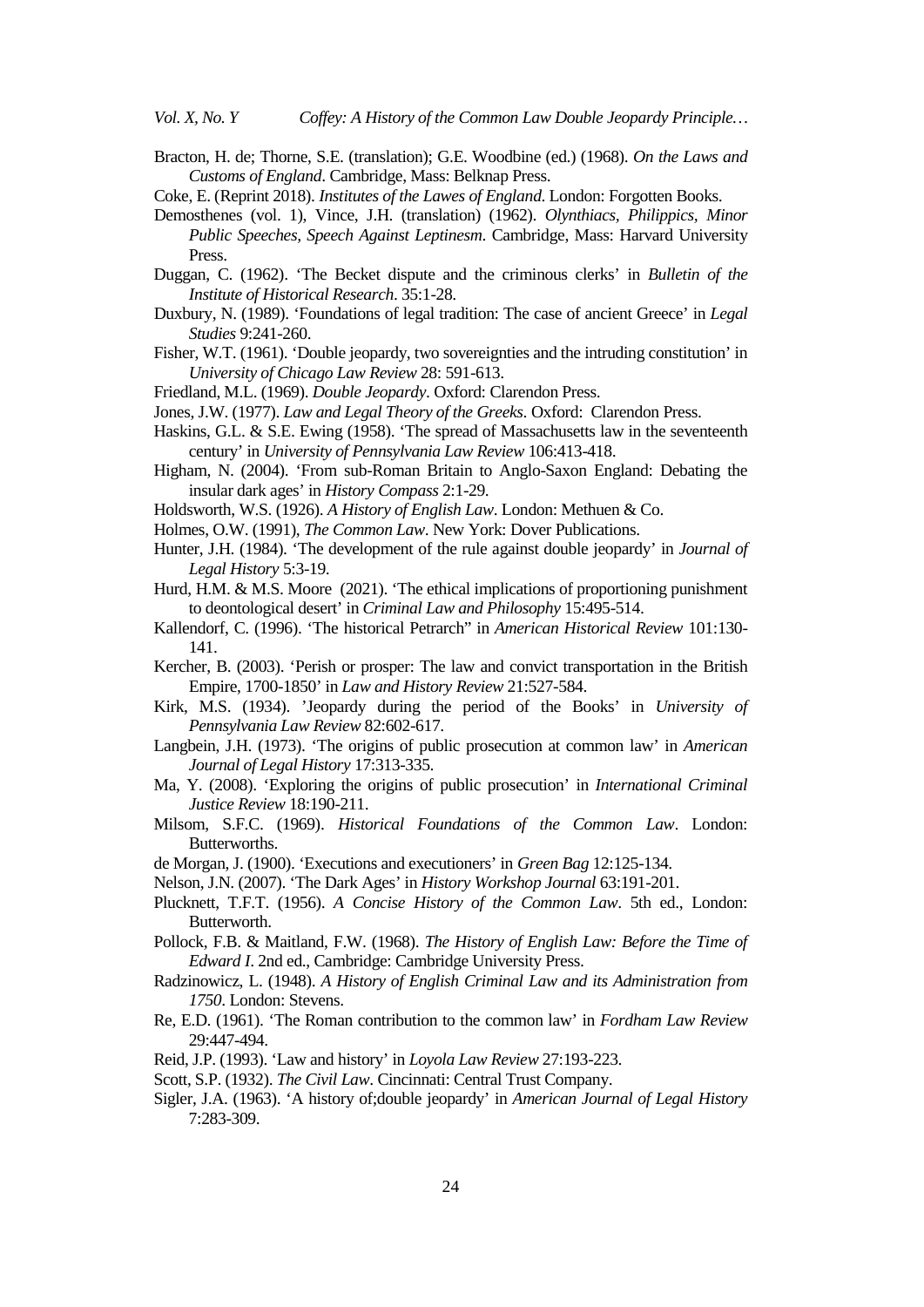*Vol. X, No. Y Coffey: A History of the Common Law Double Jeopardy Principle…*

Bracton, H. de; Thorne, S.E. (translation); G.E. Woodbine (ed.) (1968). *On the Laws and Customs of England*. Cambridge, Mass: Belknap Press.

Coke, E. (Reprint 2018). *Institutes of the Lawes of England*. London: Forgotten Books.

- Demosthenes (vol. 1), Vince, J.H. (translation) (1962). *Olynthiacs, Philippics, Minor Public Speeches, Speech Against Leptinesm*. Cambridge, Mass: Harvard University Press.
- Duggan, C. (1962). 'The Becket dispute and the criminous clerks' in *Bulletin of the Institute of Historical Research*. 35:1-28.
- Duxbury, N. (1989). 'Foundations of legal tradition: The case of ancient Greece' in *Legal Studies* 9:241-260.
- Fisher, W.T. (1961). 'Double jeopardy, two sovereignties and the intruding constitution' in *University of Chicago Law Review* 28: 591-613.
- Friedland, M.L. (1969). *Double Jeopardy*. Oxford: Clarendon Press.
- Jones, J.W. (1977). *Law and Legal Theory of the Greeks*. Oxford: Clarendon Press.
- Haskins, G.L. & S.E. Ewing (1958). 'The spread of Massachusetts law in the seventeenth century' in *University of Pennsylvania Law Review* 106:413-418.
- Higham, N. (2004). 'From sub-Roman Britain to Anglo-Saxon England: Debating the insular dark ages' in *History Compass* 2:1-29.
- Holdsworth, W.S. (1926). *A History of English Law*. London: Methuen & Co.
- Holmes, O.W. (1991), *The Common Law*. New York: Dover Publications.
- Hunter, J.H. (1984). 'The development of the rule against double jeopardy' in *Journal of Legal History* 5:3-19.
- Hurd, H.M. & M.S. Moore (2021). 'The ethical implications of proportioning punishment to deontological desert' in *Criminal Law and Philosophy* 15:495-514.
- Kallendorf, C. (1996). 'The historical Petrarch" in *American Historical Review* 101:130- 141.
- Kercher, B. (2003). 'Perish or prosper: The law and convict transportation in the British Empire, 1700-1850' in *Law and History Review* 21:527-584.
- Kirk, M.S. (1934). 'Jeopardy during the period of the Books' in *University of Pennsylvania Law Review* 82:602-617.
- Langbein, J.H. (1973). 'The origins of public prosecution at common law' in *American Journal of Legal History* 17:313-335.
- Ma, Y. (2008). 'Exploring the origins of public prosecution' in *International Criminal Justice Review* 18:190-211.
- Milsom, S.F.C. (1969). *Historical Foundations of the Common Law*. London: Butterworths.
- de Morgan, J. (1900). 'Executions and executioners' in *Green Bag* 12:125-134.
- Nelson, J.N. (2007). 'The Dark Ages' in *History Workshop Journal* 63:191-201.
- Plucknett, T.F.T. (1956). *A Concise History of the Common Law*. 5th ed., London: Butterworth.
- Pollock, F.B. & Maitland, F.W. (1968). *The History of English Law: Before the Time of Edward I*. 2nd ed., Cambridge: Cambridge University Press.
- Radzinowicz, L. (1948). *A History of English Criminal Law and its Administration from 1750*. London: Stevens.
- Re, E.D. (1961). 'The Roman contribution to the common law' in *Fordham Law Review* 29:447-494.
- Reid, J.P. (1993). 'Law and history' in *Loyola Law Review* 27:193-223.
- Scott, S.P. (1932). *The Civil Law*. Cincinnati: Central Trust Company.
- Sigler, J.A. (1963). 'A history of;double jeopardy' in *American Journal of Legal History* 7:283-309.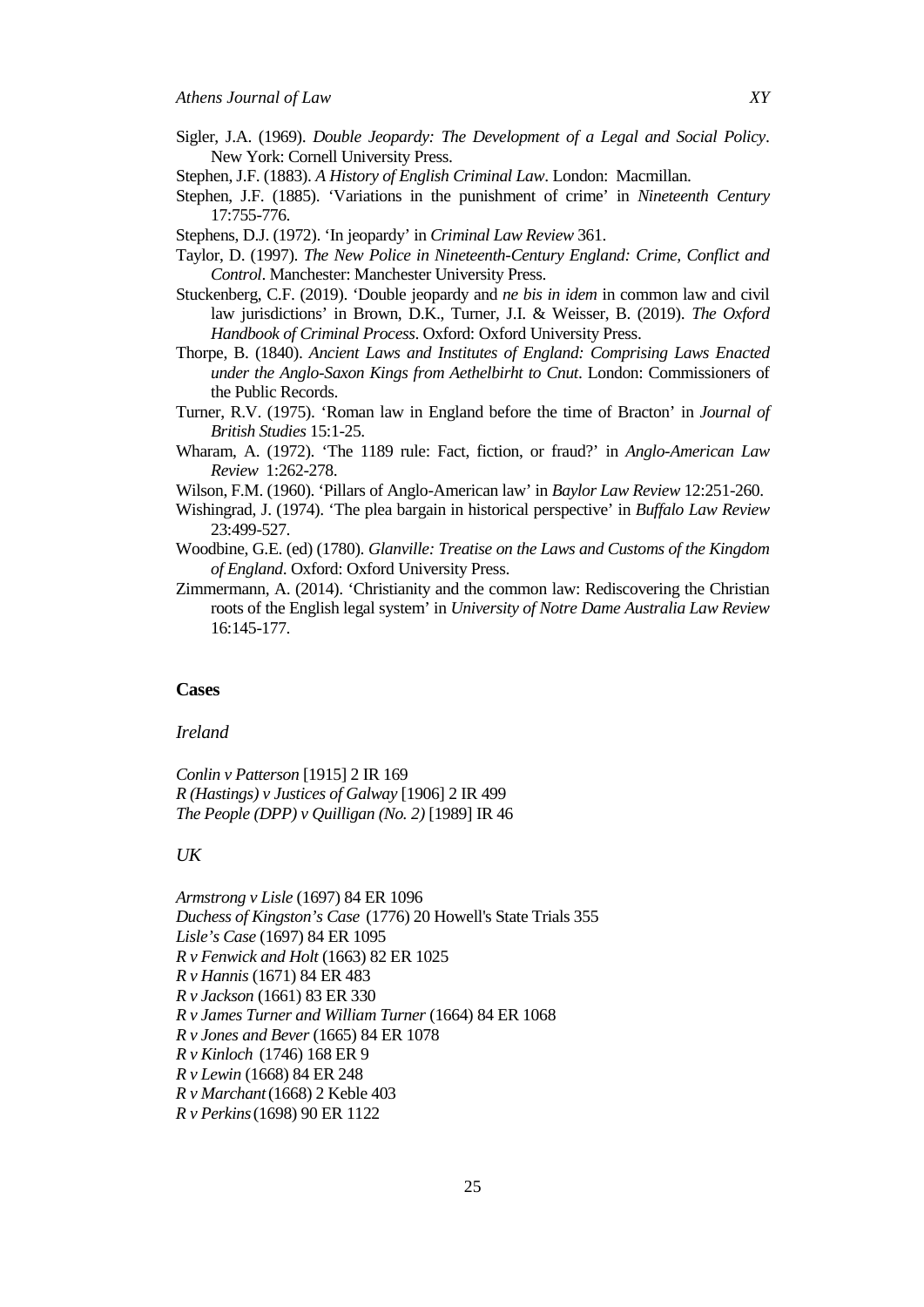- Sigler, J.A. (1969). *Double Jeopardy: The Development of a Legal and Social Policy*. New York: Cornell University Press.
- Stephen, J.F. (1883). *A History of English Criminal Law*. London: Macmillan.
- Stephen, J.F. (1885). 'Variations in the punishment of crime' in *Nineteenth Century* 17:755-776.
- Stephens, D.J. (1972). 'In jeopardy' in *Criminal Law Review* 361.
- Taylor, D. (1997). *The New Police in Nineteenth-Century England: Crime, Conflict and Control*. Manchester: Manchester University Press.
- Stuckenberg, C.F. (2019). 'Double jeopardy and *ne bis in idem* in common law and civil law jurisdictions' in Brown, D.K., Turner, J.I. & Weisser, B. (2019). *The Oxford Handbook of Criminal Process*. Oxford: Oxford University Press.
- Thorpe, B. (1840). *Ancient Laws and Institutes of England: Comprising Laws Enacted under the Anglo-Saxon Kings from Aethelbirht to Cnut*. London: Commissioners of the Public Records.
- Turner, R.V. (1975). 'Roman law in England before the time of Bracton' in *Journal of British Studies* 15:1-25.
- Wharam, A. (1972). 'The 1189 rule: Fact, fiction, or fraud?' in *Anglo-American Law Review* 1:262-278.
- Wilson, F.M. (1960). 'Pillars of Anglo-American law' in *Baylor Law Review* 12:251-260.
- Wishingrad, J. (1974). 'The plea bargain in historical perspective' in *Buffalo Law Review* 23:499-527.
- Woodbine, G.E. (ed) (1780). *Glanville: Treatise on the Laws and Customs of the Kingdom of England*. Oxford: Oxford University Press.
- Zimmermann, A. (2014). 'Christianity and the common law: Rediscovering the Christian roots of the English legal system' in *University of Notre Dame Australia Law Review* 16:145-177.

## **Cases**

#### *Ireland*

*Conlin v Patterson* [1915] 2 IR 169 *R (Hastings) v Justices of Galway* [1906] 2 IR 499 *The People (DPP) v Quilligan (No. 2)* [1989] IR 46

#### *UK*

*Armstrong v Lisle* (1697) 84 ER 1096 *Duchess of Kingston's Case* (1776) 20 Howell's State Trials 355 *Lisle's Case* (1697) 84 ER 1095 *R v Fenwick and Holt* (1663) 82 ER 1025 *R v Hannis* (1671) 84 ER 483 *R v Jackson* (1661) 83 ER 330 *R v James Turner and William Turner* (1664) 84 ER 1068 *R v Jones and Bever* (1665) 84 ER 1078 *R v Kinloch* (1746) 168 ER 9 *R v Lewin* (1668) 84 ER 248 *R v Marchant*(1668) 2 Keble 403 *R v Perkins*(1698) 90 ER 1122